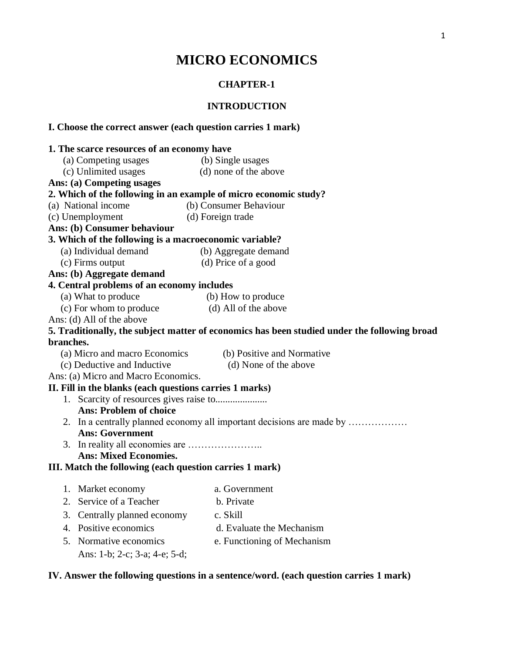# **MICRO ECONOMICS**

# **CHAPTER-1**

# **INTRODUCTION**

# **I. Choose the correct answer (each question carries 1 mark)**

|           | 1. The scarce resources of an economy have                       |                                                                                              |  |  |
|-----------|------------------------------------------------------------------|----------------------------------------------------------------------------------------------|--|--|
|           | (a) Competing usages                                             | (b) Single usages                                                                            |  |  |
|           | (c) Unlimited usages                                             | (d) none of the above                                                                        |  |  |
|           | Ans: (a) Competing usages                                        |                                                                                              |  |  |
|           | 2. Which of the following in an example of micro economic study? |                                                                                              |  |  |
|           | (a) National income                                              | (b) Consumer Behaviour                                                                       |  |  |
|           | (c) Unemployment                                                 | (d) Foreign trade                                                                            |  |  |
|           | Ans: (b) Consumer behaviour                                      |                                                                                              |  |  |
|           | 3. Which of the following is a macroeconomic variable?           |                                                                                              |  |  |
|           | (a) Individual demand                                            | (b) Aggregate demand                                                                         |  |  |
|           | (c) Firms output                                                 | (d) Price of a good                                                                          |  |  |
|           | Ans: (b) Aggregate demand                                        |                                                                                              |  |  |
|           | 4. Central problems of an economy includes                       |                                                                                              |  |  |
|           | (a) What to produce                                              | (b) How to produce                                                                           |  |  |
|           | (c) For whom to produce                                          | (d) All of the above                                                                         |  |  |
|           | Ans: (d) All of the above                                        |                                                                                              |  |  |
|           |                                                                  | 5. Traditionally, the subject matter of economics has been studied under the following broad |  |  |
| branches. |                                                                  |                                                                                              |  |  |
|           | (a) Micro and macro Economics                                    | (b) Positive and Normative                                                                   |  |  |
|           | (c) Deductive and Inductive                                      | (d) None of the above                                                                        |  |  |
|           | Ans: (a) Micro and Macro Economics.                              |                                                                                              |  |  |
|           | II. Fill in the blanks (each questions carries 1 marks)          |                                                                                              |  |  |
|           |                                                                  |                                                                                              |  |  |
|           | <b>Ans: Problem of choice</b>                                    |                                                                                              |  |  |
|           |                                                                  | 2. In a centrally planned economy all important decisions are made by                        |  |  |
|           | <b>Ans: Government</b>                                           |                                                                                              |  |  |
|           |                                                                  |                                                                                              |  |  |
|           | <b>Ans: Mixed Economies.</b>                                     |                                                                                              |  |  |
|           | III. Match the following (each question carries 1 mark)          |                                                                                              |  |  |
|           | 1. Market economy                                                | a. Government                                                                                |  |  |
|           | 2. Service of a Teacher                                          | b. Private                                                                                   |  |  |
|           | 3. Centrally planned economy                                     | c. Skill                                                                                     |  |  |
|           | 4. Positive economics                                            | d. Evaluate the Mechanism                                                                    |  |  |
|           |                                                                  |                                                                                              |  |  |
|           | 5. Normative economics                                           | e. Functioning of Mechanism                                                                  |  |  |
|           | Ans: 1-b; 2-c; 3-a; 4-e; 5-d;                                    |                                                                                              |  |  |
|           |                                                                  |                                                                                              |  |  |

# **IV. Answer the following questions in a sentence/word. (each question carries 1 mark)**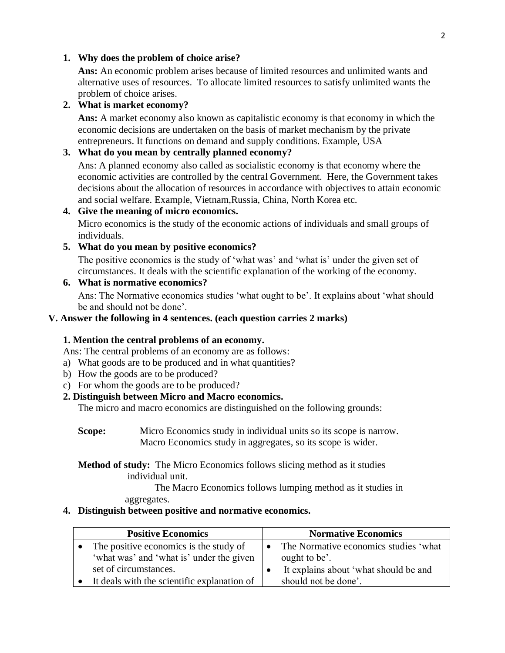#### **1. Why does the problem of choice arise?**

Ans: An economic problem arises because of limited resources and unlimited wants and alternative uses of resources. To allocate limited resources to satisfy unlimited wants the problem of choice arises.

#### **2. What is market economy?**

**Ans:** A market economy also known as capitalistic economy is that economy in which the economic decisions are undertaken on the basis of market mechanism by the private entrepreneurs. It functions on demand and supply conditions. Example, USA

## **3. What do you mean by centrally planned economy?**

Ans: A planned economy also called as socialistic economy is that economy where the economic activities are controlled by the central Government. Here, the Government takes decisions about the allocation of resources in accordance with objectives to attain economic and social welfare. Example, Vietnam,Russia, China, North Korea etc.

## **4. Give the meaning of micro economics.**

Micro economics is the study of the economic actions of individuals and small groups of individuals.

### **5. What do you mean by positive economics?**

The positive economics is the study of 'what was' and 'what is' under the given set of circumstances. It deals with the scientific explanation of the working of the economy.

## **6. What is normative economics?**

Ans: The Normative economics studies 'what ought to be'. It explains about 'what should be and should not be done'.

#### **V. Answer the following in 4 sentences. (each question carries 2 marks)**

#### **1. Mention the central problems of an economy.**

Ans: The central problems of an economy are as follows:

- a) What goods are to be produced and in what quantities?
- b) How the goods are to be produced?
- c) For whom the goods are to be produced?

## **2. Distinguish between Micro and Macro economics.**

The micro and macro economics are distinguished on the following grounds:

**Scope:** Micro Economics study in individual units so its scope is narrow. Macro Economics study in aggregates, so its scope is wider.

## **Method of study:** The Micro Economics follows slicing method as it studies individual unit.

The Macro Economics follows lumping method as it studies in aggregates.

## **4. Distinguish between positive and normative economics.**

| <b>Positive Economics</b>                   | <b>Normative Economics</b>            |
|---------------------------------------------|---------------------------------------|
| The positive economics is the study of      | The Normative economics studies 'what |
| 'what was' and 'what is' under the given    | ought to be'.                         |
| set of circumstances.                       | It explains about 'what should be and |
| It deals with the scientific explanation of | should not be done'.                  |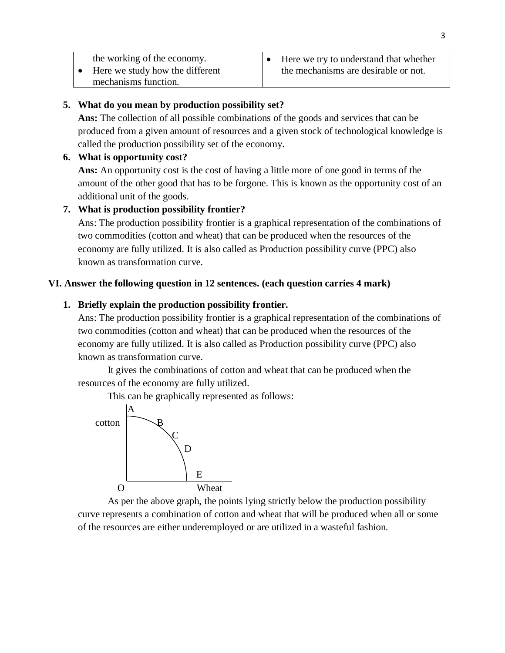| the working of the economy.<br>Here we study how the different<br>mechanisms function. | Here we try to understand that whether<br>the mechanisms are desirable or not. |
|----------------------------------------------------------------------------------------|--------------------------------------------------------------------------------|
|----------------------------------------------------------------------------------------|--------------------------------------------------------------------------------|

# **5. What do you mean by production possibility set?**

**Ans:** The collection of all possible combinations of the goods and services that can be produced from a given amount of resources and a given stock of technological knowledge is called the production possibility set of the economy.

## **6. What is opportunity cost?**

**Ans:** An opportunity cost is the cost of having a little more of one good in terms of the amount of the other good that has to be forgone. This is known as the opportunity cost of an additional unit of the goods.

# **7. What is production possibility frontier?**

Ans: The production possibility frontier is a graphical representation of the combinations of two commodities (cotton and wheat) that can be produced when the resources of the economy are fully utilized. It is also called as Production possibility curve (PPC) also known as transformation curve.

# **VI. Answer the following question in 12 sentences. (each question carries 4 mark)**

# **1. Briefly explain the production possibility frontier.**

Ans: The production possibility frontier is a graphical representation of the combinations of two commodities (cotton and wheat) that can be produced when the resources of the economy are fully utilized. It is also called as Production possibility curve (PPC) also known as transformation curve.

It gives the combinations of cotton and wheat that can be produced when the resources of the economy are fully utilized.

This can be graphically represented as follows:



As per the above graph, the points lying strictly below the production possibility curve represents a combination of cotton and wheat that will be produced when all or some of the resources are either underemployed or are utilized in a wasteful fashion.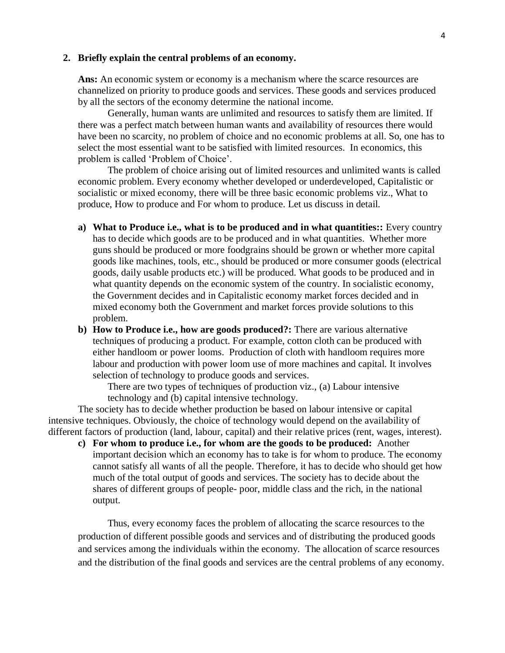#### **2. Briefly explain the central problems of an economy.**

**Ans:** An economic system or economy is a mechanism where the scarce resources are channelized on priority to produce goods and services. These goods and services produced by all the sectors of the economy determine the national income.

Generally, human wants are unlimited and resources to satisfy them are limited. If there was a perfect match between human wants and availability of resources there would have been no scarcity, no problem of choice and no economic problems at all. So, one has to select the most essential want to be satisfied with limited resources. In economics, this problem is called 'Problem of Choice'.

The problem of choice arising out of limited resources and unlimited wants is called economic problem. Every economy whether developed or underdeveloped, Capitalistic or socialistic or mixed economy, there will be three basic economic problems viz., What to produce, How to produce and For whom to produce. Let us discuss in detail.

- **a) What to Produce i.e., what is to be produced and in what quantities::** Every country has to decide which goods are to be produced and in what quantities. Whether more guns should be produced or more foodgrains should be grown or whether more capital goods like machines, tools, etc., should be produced or more consumer goods (electrical goods, daily usable products etc.) will be produced. What goods to be produced and in what quantity depends on the economic system of the country. In socialistic economy, the Government decides and in Capitalistic economy market forces decided and in mixed economy both the Government and market forces provide solutions to this problem.
- **b) How to Produce i.e., how are goods produced?:** There are various alternative techniques of producing a product. For example, cotton cloth can be produced with either handloom or power looms. Production of cloth with handloom requires more labour and production with power loom use of more machines and capital. It involves selection of technology to produce goods and services.

There are two types of techniques of production viz., (a) Labour intensive technology and (b) capital intensive technology.

The society has to decide whether production be based on labour intensive or capital intensive techniques. Obviously, the choice of technology would depend on the availability of different factors of production (land, labour, capital) and their relative prices (rent, wages, interest).

**c) For whom to produce i.e., for whom are the goods to be produced:** Another important decision which an economy has to take is for whom to produce. The economy cannot satisfy all wants of all the people. Therefore, it has to decide who should get how much of the total output of goods and services. The society has to decide about the shares of different groups of people- poor, middle class and the rich, in the national output.

Thus, every economy faces the problem of allocating the scarce resources to the production of different possible goods and services and of distributing the produced goods and services among the individuals within the economy. The allocation of scarce resources and the distribution of the final goods and services are the central problems of any economy.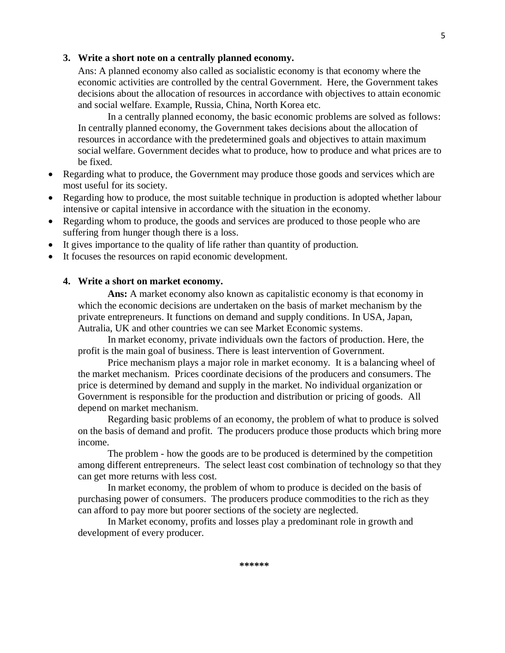#### **3. Write a short note on a centrally planned economy.**

Ans: A planned economy also called as socialistic economy is that economy where the economic activities are controlled by the central Government. Here, the Government takes decisions about the allocation of resources in accordance with objectives to attain economic and social welfare. Example, Russia, China, North Korea etc.

In a centrally planned economy, the basic economic problems are solved as follows: In centrally planned economy, the Government takes decisions about the allocation of resources in accordance with the predetermined goals and objectives to attain maximum social welfare. Government decides what to produce, how to produce and what prices are to be fixed.

- Regarding what to produce, the Government may produce those goods and services which are most useful for its society.
- Regarding how to produce, the most suitable technique in production is adopted whether labour intensive or capital intensive in accordance with the situation in the economy.
- Regarding whom to produce, the goods and services are produced to those people who are suffering from hunger though there is a loss.
- It gives importance to the quality of life rather than quantity of production.
- It focuses the resources on rapid economic development.

#### **4. Write a short on market economy.**

**Ans:** A market economy also known as capitalistic economy is that economy in which the economic decisions are undertaken on the basis of market mechanism by the private entrepreneurs. It functions on demand and supply conditions. In USA, Japan, Autralia, UK and other countries we can see Market Economic systems.

In market economy, private individuals own the factors of production. Here, the profit is the main goal of business. There is least intervention of Government.

Price mechanism plays a major role in market economy. It is a balancing wheel of the market mechanism. Prices coordinate decisions of the producers and consumers. The price is determined by demand and supply in the market. No individual organization or Government is responsible for the production and distribution or pricing of goods. All depend on market mechanism.

Regarding basic problems of an economy, the problem of what to produce is solved on the basis of demand and profit. The producers produce those products which bring more income.

The problem - how the goods are to be produced is determined by the competition among different entrepreneurs. The select least cost combination of technology so that they can get more returns with less cost.

In market economy, the problem of whom to produce is decided on the basis of purchasing power of consumers. The producers produce commodities to the rich as they can afford to pay more but poorer sections of the society are neglected.

In Market economy, profits and losses play a predominant role in growth and development of every producer.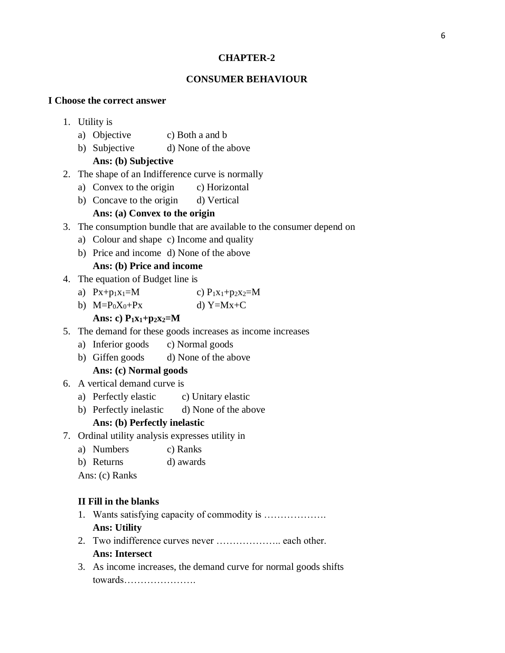## **CHAPTER-2**

# **CONSUMER BEHAVIOUR**

#### **I Choose the correct answer**

- 1. Utility is
	- a) Objective c) Both a and b
	- b) Subjective d) None of the above

## **Ans: (b) Subjective**

- 2. The shape of an Indifference curve is normally
	- a) Convex to the origin c) Horizontal
	- b) Concave to the origin d) Vertical

# **Ans: (a) Convex to the origin**

- 3. The consumption bundle that are available to the consumer depend on
	- a) Colour and shape c) Income and quality
	- b) Price and income d) None of the above

# **Ans: (b) Price and income**

- 4. The equation of Budget line is
	- a)  $Px + p_1x_1 = M$  c)  $P_1x_1 + p_2x_2 = M$
	- b)  $M=P_0X_0+Px$  d)  $Y=Mx+C$ 
		- **Ans: c) P1x1+p2x2=M**
- 5. The demand for these goods increases as income increases
	- a) Inferior goods c) Normal goods
	- b) Giffen goods d) None of the above

#### **Ans: (c) Normal goods**

- 6. A vertical demand curve is
	- a) Perfectly elastic c) Unitary elastic
	- b) Perfectly inelastic d) None of the above

#### **Ans: (b) Perfectly inelastic**

- 7. Ordinal utility analysis expresses utility in
	- a) Numbers c) Ranks
	- b) Returns d) awards

Ans: (c) Ranks

#### **II Fill in the blanks**

- 1. Wants satisfying capacity of commodity is ………………. **Ans: Utility**
- 2. Two indifference curves never ……………….. each other. **Ans: Intersect**
- 3. As income increases, the demand curve for normal goods shifts towards………………….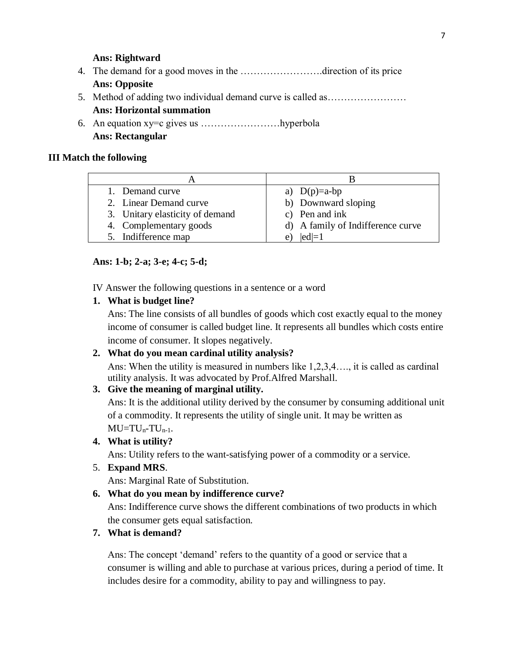## **Ans: Rightward**

- 4. The demand for a good moves in the …………………….direction of its price **Ans: Opposite**
- 5. Method of adding two individual demand curve is called as…………………… **Ans: Horizontal summation**
- 6. An equation xy=c gives us ……………………hyperbola **Ans: Rectangular**

#### **III Match the following**

| 1. Demand curve                 | a) $D(p)=a-bp$                    |
|---------------------------------|-----------------------------------|
| 2. Linear Demand curve          | b) Downward sloping               |
| 3. Unitary elasticity of demand | c) Pen and ink                    |
| 4. Complementary goods          | d) A family of Indifference curve |
| 5. Indifference map             | $ ed =1$<br>e                     |

### **Ans: 1-b; 2-a; 3-e; 4-c; 5-d;**

IV Answer the following questions in a sentence or a word

**1. What is budget line?**

Ans: The line consists of all bundles of goods which cost exactly equal to the money income of consumer is called budget line. It represents all bundles which costs entire income of consumer. It slopes negatively.

#### **2. What do you mean cardinal utility analysis?**

Ans: When the utility is measured in numbers like 1,2,3,4…., it is called as cardinal utility analysis. It was advocated by Prof.Alfred Marshall.

## **3. Give the meaning of marginal utility.**

Ans: It is the additional utility derived by the consumer by consuming additional unit of a commodity. It represents the utility of single unit. It may be written as  $MU= TU<sub>n</sub>-TU<sub>n-1</sub>.$ 

## **4. What is utility?**

Ans: Utility refers to the want-satisfying power of a commodity or a service.

5. **Expand MRS**.

Ans: Marginal Rate of Substitution.

## **6. What do you mean by indifference curve?**

Ans: Indifference curve shows the different combinations of two products in which the consumer gets equal satisfaction.

#### **7. What is demand?**

Ans: The concept 'demand' refers to the quantity of a good or service that a consumer is willing and able to purchase at various prices, during a period of time. It includes desire for a commodity, ability to pay and willingness to pay.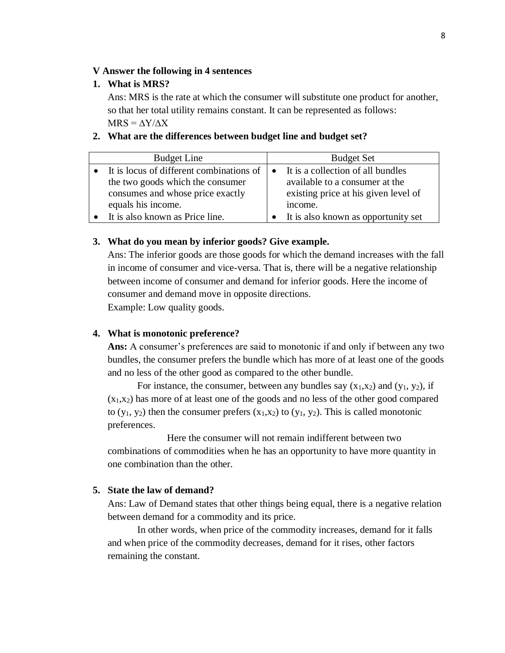#### **V Answer the following in 4 sentences**

### **1. What is MRS?**

Ans: MRS is the rate at which the consumer will substitute one product for another, so that her total utility remains constant. It can be represented as follows:  $MRS = \Delta Y / \Delta X$ 

#### **2. What are the differences between budget line and budget set?**

| <b>Budget Line</b>                                 | <b>Budget Set</b>                    |
|----------------------------------------------------|--------------------------------------|
| $\bullet$ It is locus of different combinations of | • It is a collection of all bundles  |
| the two goods which the consumer                   | available to a consumer at the       |
| consumes and whose price exactly                   | existing price at his given level of |
| equals his income.                                 | income.                              |
| It is also known as Price line.                    | It is also known as opportunity set  |

## **3. What do you mean by inferior goods? Give example.**

Ans: The inferior goods are those goods for which the demand increases with the fall in income of consumer and vice-versa. That is, there will be a negative relationship between income of consumer and demand for inferior goods. Here the income of consumer and demand move in opposite directions. Example: Low quality goods.

#### **4. What is monotonic preference?**

**Ans:** A consumer's preferences are said to monotonic if and only if between any two bundles, the consumer prefers the bundle which has more of at least one of the goods and no less of the other good as compared to the other bundle.

For instance, the consumer, between any bundles say  $(x_1,x_2)$  and  $(y_1, y_2)$ , if  $(x_1,x_2)$  has more of at least one of the goods and no less of the other good compared to  $(y_1, y_2)$  then the consumer prefers  $(x_1, x_2)$  to  $(y_1, y_2)$ . This is called monotonic preferences.

Here the consumer will not remain indifferent between two combinations of commodities when he has an opportunity to have more quantity in one combination than the other.

## **5. State the law of demand?**

Ans: Law of Demand states that other things being equal, there is a negative relation between demand for a commodity and its price.

In other words, when price of the commodity increases, demand for it falls and when price of the commodity decreases, demand for it rises, other factors remaining the constant.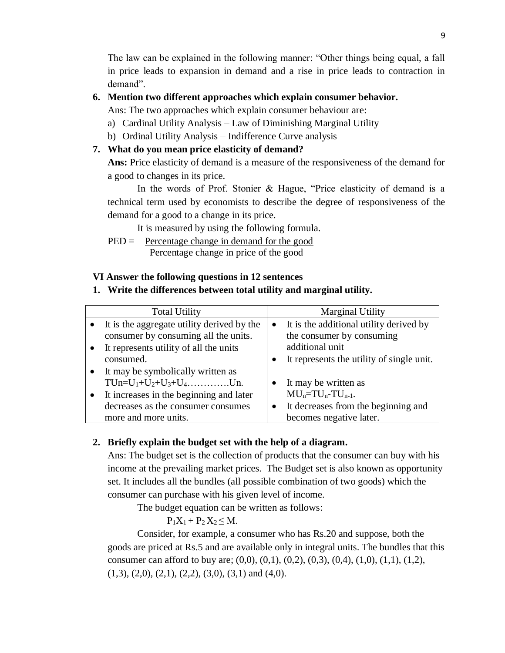The law can be explained in the following manner: "Other things being equal, a fall in price leads to expansion in demand and a rise in price leads to contraction in demand".

# **6. Mention two different approaches which explain consumer behavior.**

Ans: The two approaches which explain consumer behaviour are:

- a) Cardinal Utility Analysis Law of Diminishing Marginal Utility
- b) Ordinal Utility Analysis Indifference Curve analysis

# **7. What do you mean price elasticity of demand?**

**Ans:** Price elasticity of demand is a measure of the responsiveness of the demand for a good to changes in its price.

In the words of Prof. Stonier & Hague, "Price elasticity of demand is a technical term used by economists to describe the degree of responsiveness of the demand for a good to a change in its price.

It is measured by using the following formula.

PED = Percentage change in demand for the good Percentage change in price of the good

# **VI Answer the following questions in 12 sentences**

# **1. Write the differences between total utility and marginal utility.**

| <b>Total Utility</b>                                                                                                                                                     | <b>Marginal Utility</b>                                                                                                 |
|--------------------------------------------------------------------------------------------------------------------------------------------------------------------------|-------------------------------------------------------------------------------------------------------------------------|
| It is the aggregate utility derived by the<br>consumer by consuming all the units.<br>It represents utility of all the units                                             | It is the additional utility derived by<br>$\bullet$<br>the consumer by consuming<br>additional unit                    |
| consumed.                                                                                                                                                                | It represents the utility of single unit.<br>$\bullet$                                                                  |
| It may be symbolically written as<br>TUn= $U_1+U_2+U_3+U_4$ Un.<br>It increases in the beginning and later<br>decreases as the consumer consumes<br>more and more units. | It may be written as<br>$MUn=TUn-TUn-1.$<br>It decreases from the beginning and<br>$\bullet$<br>becomes negative later. |

# **2. Briefly explain the budget set with the help of a diagram.**

Ans: The budget set is the collection of products that the consumer can buy with his income at the prevailing market prices. The Budget set is also known as opportunity set. It includes all the bundles (all possible combination of two goods) which the consumer can purchase with his given level of income.

The budget equation can be written as follows:

 $P_1X_1 + P_2X_2 \leq M$ .

Consider, for example, a consumer who has Rs.20 and suppose, both the goods are priced at Rs.5 and are available only in integral units. The bundles that this consumer can afford to buy are;  $(0,0)$ ,  $(0,1)$ ,  $(0,2)$ ,  $(0,3)$ ,  $(0,4)$ ,  $(1,0)$ ,  $(1,1)$ ,  $(1,2)$ ,  $(1,3)$ ,  $(2,0)$ ,  $(2,1)$ ,  $(2,2)$ ,  $(3,0)$ ,  $(3,1)$  and  $(4,0)$ .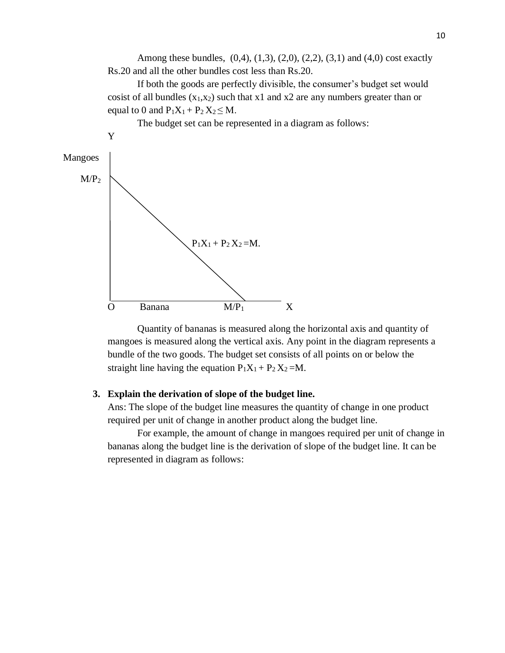Among these bundles, (0,4), (1,3), (2,0), (2,2), (3,1) and (4,0) cost exactly Rs.20 and all the other bundles cost less than Rs.20.

If both the goods are perfectly divisible, the consumer's budget set would cosist of all bundles  $(x_1,x_2)$  such that x1 and x2 are any numbers greater than or equal to 0 and  $P_1X_1 + P_2X_2 \leq M$ .



Quantity of bananas is measured along the horizontal axis and quantity of mangoes is measured along the vertical axis. Any point in the diagram represents a bundle of the two goods. The budget set consists of all points on or below the straight line having the equation  $P_1X_1 + P_2X_2 = M$ .

#### **3. Explain the derivation of slope of the budget line.**

Ans: The slope of the budget line measures the quantity of change in one product required per unit of change in another product along the budget line.

For example, the amount of change in mangoes required per unit of change in bananas along the budget line is the derivation of slope of the budget line. It can be represented in diagram as follows: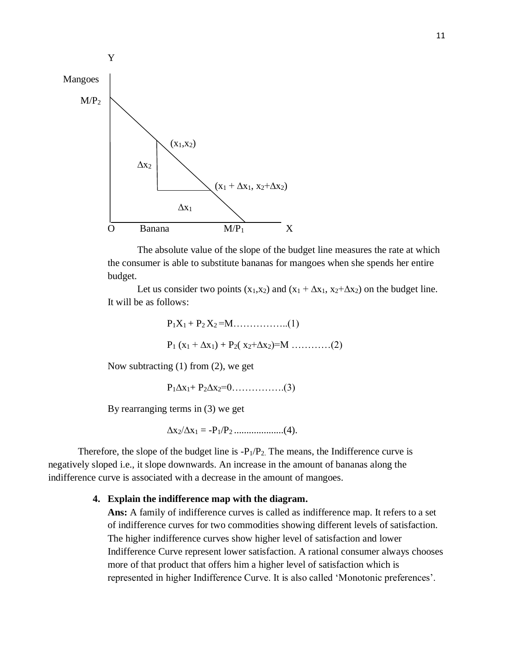

The absolute value of the slope of the budget line measures the rate at which the consumer is able to substitute bananas for mangoes when she spends her entire budget.

Let us consider two points (x<sub>1</sub>,x<sub>2</sub>) and (x<sub>1</sub> +  $\Delta$ x<sub>1</sub>, x<sub>2</sub>+ $\Delta$ x<sub>2</sub>) on the budget line. It will be as follows:

$$
P_1X_1 + P_2X_2 = M \dots (1)
$$
  
 
$$
P_1 (x_1 + \Delta x_1) + P_2 (x_2 + \Delta x_2) = M \dots (2)
$$

Now subtracting (1) from (2), we get

P1∆x1+ P2∆x2=0…………….(3)

By rearranging terms in (3) we get

∆x2/∆x<sup>1</sup> = -P1/P2 ....................(4).

Therefore, the slope of the budget line is  $-P_1/P_2$ . The means, the Indifference curve is negatively sloped i.e., it slope downwards. An increase in the amount of bananas along the indifference curve is associated with a decrease in the amount of mangoes.

## **4. Explain the indifference map with the diagram.**

**Ans:** A family of indifference curves is called as indifference map. It refers to a set of indifference curves for two commodities showing different levels of satisfaction. The higher indifference curves show higher level of satisfaction and lower Indifference Curve represent lower satisfaction. A rational consumer always chooses more of that product that offers him a higher level of satisfaction which is represented in higher Indifference Curve. It is also called 'Monotonic preferences'.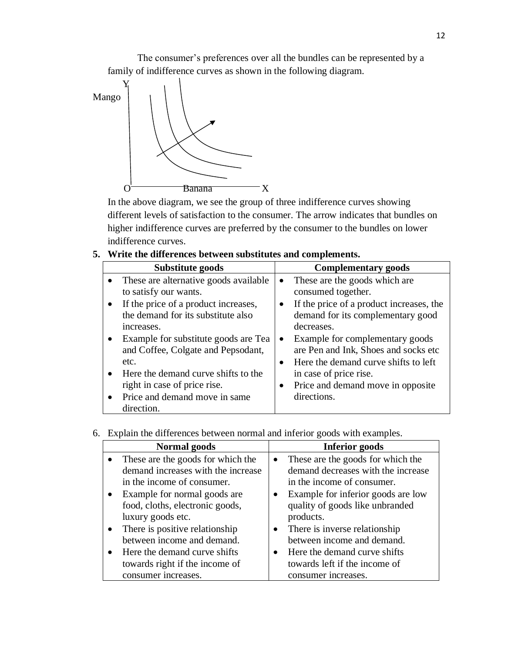The consumer's preferences over all the bundles can be represented by a family of indifference curves as shown in the following diagram.



In the above diagram, we see the group of three indifference curves showing different levels of satisfaction to the consumer. The arrow indicates that bundles on higher indifference curves are preferred by the consumer to the bundles on lower indifference curves.

|  |  |  |  |  |  | 5. Write the differences between substitutes and complements. |
|--|--|--|--|--|--|---------------------------------------------------------------|
|--|--|--|--|--|--|---------------------------------------------------------------|

| Substitute goods                      | <b>Complementary goods</b>                      |  |  |  |
|---------------------------------------|-------------------------------------------------|--|--|--|
| These are alternative goods available | These are the goods which are<br>$\bullet$      |  |  |  |
| to satisfy our wants.                 | consumed together.                              |  |  |  |
| If the price of a product increases,  | If the price of a product increases, the        |  |  |  |
| the demand for its substitute also    | demand for its complementary good               |  |  |  |
| increases.                            | decreases.                                      |  |  |  |
| Example for substitute goods are Tea  | Example for complementary goods<br>$\bullet$    |  |  |  |
| and Coffee, Colgate and Pepsodant,    | are Pen and Ink, Shoes and socks etc            |  |  |  |
| etc.                                  | Here the demand curve shifts to left            |  |  |  |
| Here the demand curve shifts to the   | in case of price rise.                          |  |  |  |
| right in case of price rise.          | Price and demand move in opposite.<br>$\bullet$ |  |  |  |
| Price and demand move in same         | directions.                                     |  |  |  |
| direction.                            |                                                 |  |  |  |

# 6. Explain the differences between normal and inferior goods with examples.

| Normal goods                       |           | <b>Inferior goods</b>              |
|------------------------------------|-----------|------------------------------------|
| These are the goods for which the  | $\bullet$ | These are the goods for which the  |
| demand increases with the increase |           | demand decreases with the increase |
| in the income of consumer.         |           | in the income of consumer.         |
| Example for normal goods are       | $\bullet$ | Example for inferior goods are low |
| food, cloths, electronic goods,    |           | quality of goods like unbranded    |
| luxury goods etc.                  |           | products.                          |
| There is positive relationship     |           | • There is inverse relationship    |
| between income and demand.         |           | between income and demand.         |
| Here the demand curve shifts       |           | • Here the demand curve shifts     |
| towards right if the income of     |           | towards left if the income of      |
| consumer increases.                |           | consumer increases.                |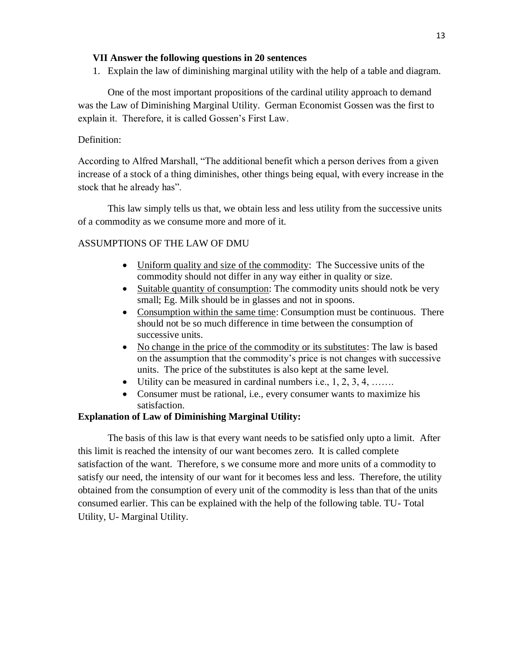#### **VII Answer the following questions in 20 sentences**

1. Explain the law of diminishing marginal utility with the help of a table and diagram.

One of the most important propositions of the cardinal utility approach to demand was the Law of Diminishing Marginal Utility. German Economist Gossen was the first to explain it. Therefore, it is called Gossen's First Law.

## Definition:

According to Alfred Marshall, "The additional benefit which a person derives from a given increase of a stock of a thing diminishes, other things being equal, with every increase in the stock that he already has".

This law simply tells us that, we obtain less and less utility from the successive units of a commodity as we consume more and more of it.

## ASSUMPTIONS OF THE LAW OF DMU

- Uniform quality and size of the commodity: The Successive units of the commodity should not differ in any way either in quality or size.
- Suitable quantity of consumption: The commodity units should note be very small; Eg. Milk should be in glasses and not in spoons.
- Consumption within the same time: Consumption must be continuous. There should not be so much difference in time between the consumption of successive units.
- No change in the price of the commodity or its substitutes: The law is based on the assumption that the commodity's price is not changes with successive units. The price of the substitutes is also kept at the same level.
- Utility can be measured in cardinal numbers i.e.,  $1, 2, 3, 4, \ldots$ .
- Consumer must be rational, i.e., every consumer wants to maximize his satisfaction.

#### **Explanation of Law of Diminishing Marginal Utility:**

The basis of this law is that every want needs to be satisfied only upto a limit. After this limit is reached the intensity of our want becomes zero. It is called complete satisfaction of the want. Therefore, s we consume more and more units of a commodity to satisfy our need, the intensity of our want for it becomes less and less. Therefore, the utility obtained from the consumption of every unit of the commodity is less than that of the units consumed earlier. This can be explained with the help of the following table. TU- Total Utility, U- Marginal Utility.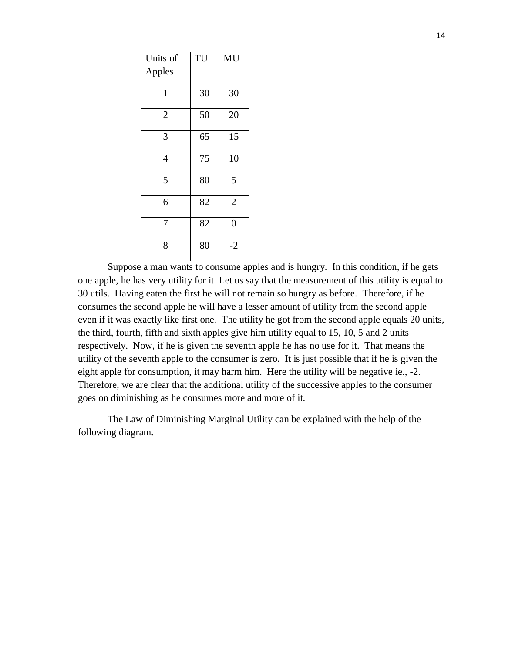| Units of       | TU | MU             |
|----------------|----|----------------|
| Apples         |    |                |
| $\mathbf{1}$   | 30 | 30             |
| $\overline{2}$ | 50 | 20             |
| 3              | 65 | 15             |
| $\overline{4}$ | 75 | 10             |
| 5              | 80 | 5              |
| 6              | 82 | $\overline{2}$ |
| 7              | 82 | $\overline{0}$ |
| 8              | 80 | $-2$           |

Suppose a man wants to consume apples and is hungry. In this condition, if he gets one apple, he has very utility for it. Let us say that the measurement of this utility is equal to 30 utils. Having eaten the first he will not remain so hungry as before. Therefore, if he consumes the second apple he will have a lesser amount of utility from the second apple even if it was exactly like first one. The utility he got from the second apple equals 20 units, the third, fourth, fifth and sixth apples give him utility equal to 15, 10, 5 and 2 units respectively. Now, if he is given the seventh apple he has no use for it. That means the utility of the seventh apple to the consumer is zero. It is just possible that if he is given the eight apple for consumption, it may harm him. Here the utility will be negative ie., -2. Therefore, we are clear that the additional utility of the successive apples to the consumer goes on diminishing as he consumes more and more of it.

The Law of Diminishing Marginal Utility can be explained with the help of the following diagram.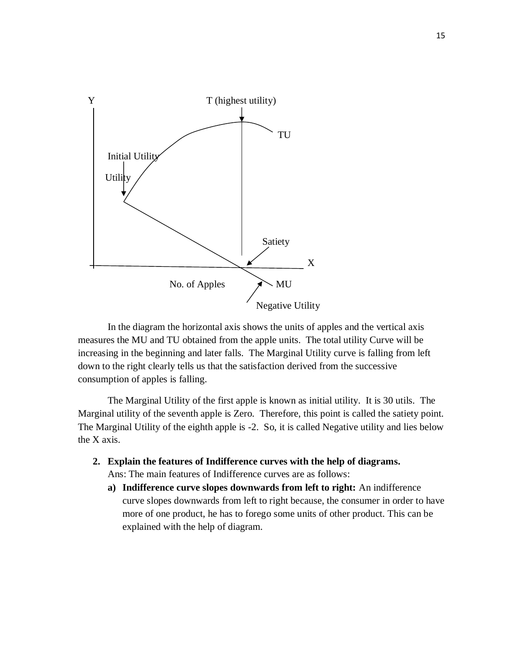

In the diagram the horizontal axis shows the units of apples and the vertical axis measures the MU and TU obtained from the apple units. The total utility Curve will be increasing in the beginning and later falls. The Marginal Utility curve is falling from left down to the right clearly tells us that the satisfaction derived from the successive consumption of apples is falling.

The Marginal Utility of the first apple is known as initial utility. It is 30 utils. The Marginal utility of the seventh apple is Zero. Therefore, this point is called the satiety point. The Marginal Utility of the eighth apple is -2. So, it is called Negative utility and lies below the X axis.

- **2. Explain the features of Indifference curves with the help of diagrams.**
	- Ans: The main features of Indifference curves are as follows:
	- **a) Indifference curve slopes downwards from left to right:** An indifference curve slopes downwards from left to right because, the consumer in order to have more of one product, he has to forego some units of other product. This can be explained with the help of diagram.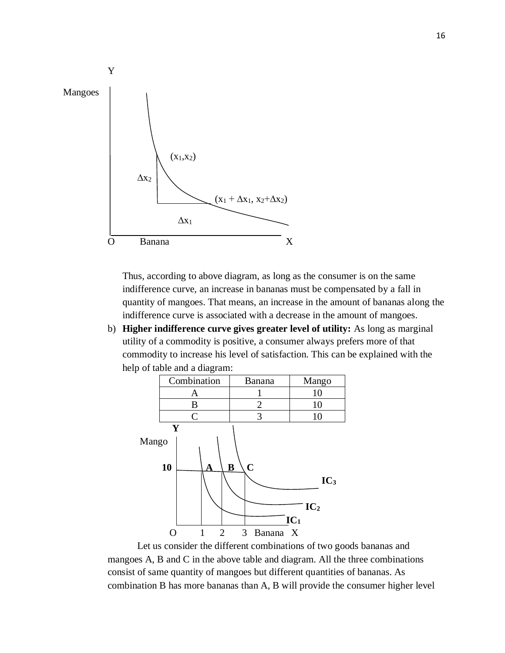

Thus, according to above diagram, as long as the consumer is on the same indifference curve, an increase in bananas must be compensated by a fall in quantity of mangoes. That means, an increase in the amount of bananas along the indifference curve is associated with a decrease in the amount of mangoes.

b) **Higher indifference curve gives greater level of utility:** As long as marginal utility of a commodity is positive, a consumer always prefers more of that commodity to increase his level of satisfaction. This can be explained with the help of table and a diagram:



Let us consider the different combinations of two goods bananas and mangoes A, B and C in the above table and diagram. All the three combinations consist of same quantity of mangoes but different quantities of bananas. As combination B has more bananas than A, B will provide the consumer higher level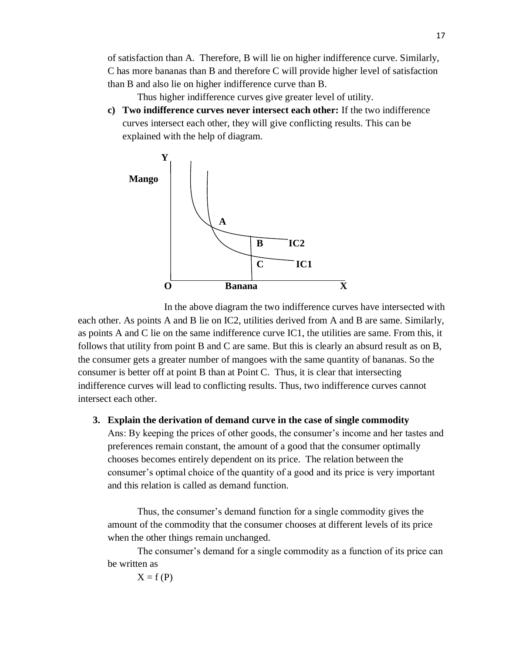of satisfaction than A. Therefore, B will lie on higher indifference curve. Similarly, C has more bananas than B and therefore C will provide higher level of satisfaction than B and also lie on higher indifference curve than B.

Thus higher indifference curves give greater level of utility.

**c) Two indifference curves never intersect each other:** If the two indifference curves intersect each other, they will give conflicting results. This can be explained with the help of diagram.



In the above diagram the two indifference curves have intersected with each other. As points A and B lie on IC2, utilities derived from A and B are same. Similarly, as points A and C lie on the same indifference curve IC1, the utilities are same. From this, it follows that utility from point B and C are same. But this is clearly an absurd result as on B, the consumer gets a greater number of mangoes with the same quantity of bananas. So the consumer is better off at point B than at Point C. Thus, it is clear that intersecting indifference curves will lead to conflicting results. Thus, two indifference curves cannot intersect each other.

#### **3. Explain the derivation of demand curve in the case of single commodity**

Ans: By keeping the prices of other goods, the consumer's income and her tastes and preferences remain constant, the amount of a good that the consumer optimally chooses becomes entirely dependent on its price. The relation between the consumer's optimal choice of the quantity of a good and its price is very important and this relation is called as demand function.

Thus, the consumer's demand function for a single commodity gives the amount of the commodity that the consumer chooses at different levels of its price when the other things remain unchanged.

The consumer's demand for a single commodity as a function of its price can be written as

 $X = f(P)$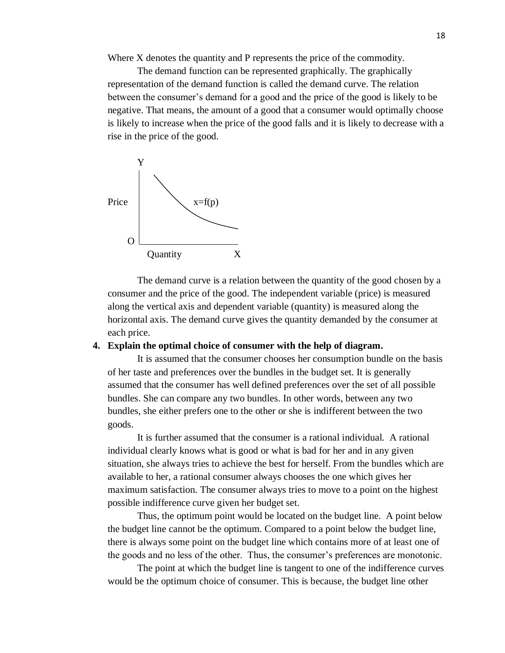Where X denotes the quantity and P represents the price of the commodity.

The demand function can be represented graphically. The graphically representation of the demand function is called the demand curve. The relation between the consumer's demand for a good and the price of the good is likely to be negative. That means, the amount of a good that a consumer would optimally choose is likely to increase when the price of the good falls and it is likely to decrease with a rise in the price of the good.



The demand curve is a relation between the quantity of the good chosen by a consumer and the price of the good. The independent variable (price) is measured along the vertical axis and dependent variable (quantity) is measured along the horizontal axis. The demand curve gives the quantity demanded by the consumer at each price.

#### **4. Explain the optimal choice of consumer with the help of diagram.**

It is assumed that the consumer chooses her consumption bundle on the basis of her taste and preferences over the bundles in the budget set. It is generally assumed that the consumer has well defined preferences over the set of all possible bundles. She can compare any two bundles. In other words, between any two bundles, she either prefers one to the other or she is indifferent between the two goods.

It is further assumed that the consumer is a rational individual. A rational individual clearly knows what is good or what is bad for her and in any given situation, she always tries to achieve the best for herself. From the bundles which are available to her, a rational consumer always chooses the one which gives her maximum satisfaction. The consumer always tries to move to a point on the highest possible indifference curve given her budget set.

Thus, the optimum point would be located on the budget line. A point below the budget line cannot be the optimum. Compared to a point below the budget line, there is always some point on the budget line which contains more of at least one of the goods and no less of the other. Thus, the consumer's preferences are monotonic.

The point at which the budget line is tangent to one of the indifference curves would be the optimum choice of consumer. This is because, the budget line other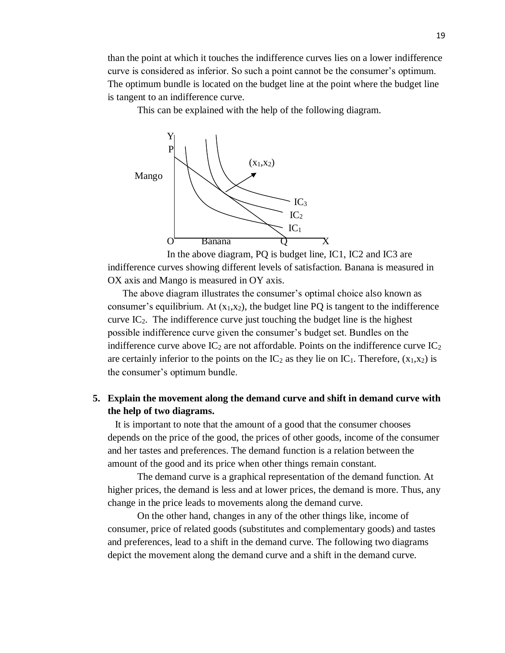than the point at which it touches the indifference curves lies on a lower indifference curve is considered as inferior. So such a point cannot be the consumer's optimum. The optimum bundle is located on the budget line at the point where the budget line is tangent to an indifference curve.

This can be explained with the help of the following diagram.



In the above diagram, PQ is budget line, IC1, IC2 and IC3 are indifference curves showing different levels of satisfaction. Banana is measured in OX axis and Mango is measured in OY axis.

 The above diagram illustrates the consumer's optimal choice also known as consumer's equilibrium. At  $(x_1, x_2)$ , the budget line PQ is tangent to the indifference curve  $IC_2$ . The indifference curve just touching the budget line is the highest possible indifference curve given the consumer's budget set. Bundles on the indifference curve above  $IC_2$  are not affordable. Points on the indifference curve  $IC_2$ are certainly inferior to the points on the  $IC_2$  as they lie on  $IC_1$ . Therefore,  $(x_1,x_2)$  is the consumer's optimum bundle.

# **5. Explain the movement along the demand curve and shift in demand curve with the help of two diagrams.**

 It is important to note that the amount of a good that the consumer chooses depends on the price of the good, the prices of other goods, income of the consumer and her tastes and preferences. The demand function is a relation between the amount of the good and its price when other things remain constant.

The demand curve is a graphical representation of the demand function. At higher prices, the demand is less and at lower prices, the demand is more. Thus, any change in the price leads to movements along the demand curve.

On the other hand, changes in any of the other things like, income of consumer, price of related goods (substitutes and complementary goods) and tastes and preferences, lead to a shift in the demand curve. The following two diagrams depict the movement along the demand curve and a shift in the demand curve.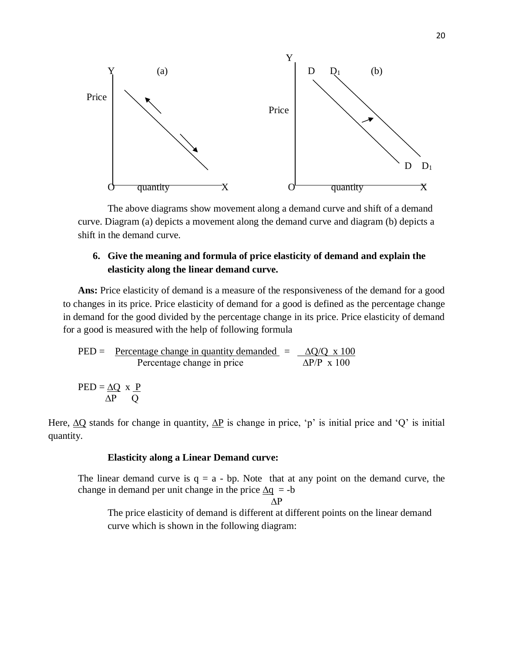

The above diagrams show movement along a demand curve and shift of a demand curve. Diagram (a) depicts a movement along the demand curve and diagram (b) depicts a shift in the demand curve.

# **6. Give the meaning and formula of price elasticity of demand and explain the elasticity along the linear demand curve.**

Ans: Price elasticity of demand is a measure of the responsiveness of the demand for a good to changes in its price. Price elasticity of demand for a good is defined as the percentage change in demand for the good divided by the percentage change in its price. Price elasticity of demand for a good is measured with the help of following formula

$$
PED = \frac{Percentage change in quantity demanded}{Percentage change in price} = \frac{\Delta Q/Q \times 100}{\Delta P/P \times 100}
$$

$$
PED = \underline{\Delta Q} \times \underline{P} \over \Delta P \quad Q
$$

Here,  $\Delta Q$  stands for change in quantity,  $\Delta P$  is change in price, 'p' is initial price and 'Q' is initial quantity.

#### **Elasticity along a Linear Demand curve:**

The linear demand curve is  $q = a - bp$ . Note that at any point on the demand curve, the change in demand per unit change in the price  $\Delta q = -b$ 

$$
\Delta \mathrm{P}
$$

The price elasticity of demand is different at different points on the linear demand curve which is shown in the following diagram: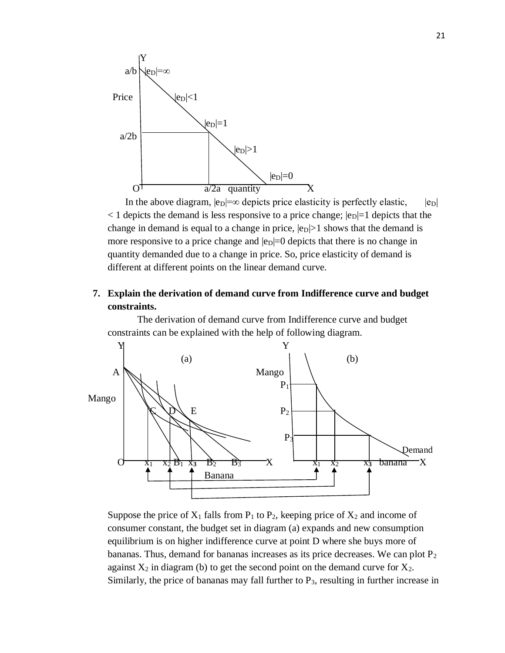

In the above diagram,  $|e_D| = \infty$  depicts price elasticity is perfectly elastic,  $|e_D|$  $<$  1 depicts the demand is less responsive to a price change;  $|e_D|=1$  depicts that the change in demand is equal to a change in price,  $|e_D|>1$  shows that the demand is more responsive to a price change and  $|e_D|=0$  depicts that there is no change in quantity demanded due to a change in price. So, price elasticity of demand is different at different points on the linear demand curve.

# **7. Explain the derivation of demand curve from Indifference curve and budget constraints.**

The derivation of demand curve from Indifference curve and budget constraints can be explained with the help of following diagram.



Suppose the price of  $X_1$  falls from  $P_1$  to  $P_2$ , keeping price of  $X_2$  and income of consumer constant, the budget set in diagram (a) expands and new consumption equilibrium is on higher indifference curve at point D where she buys more of bananas. Thus, demand for bananas increases as its price decreases. We can plot  $P_2$ against  $X_2$  in diagram (b) to get the second point on the demand curve for  $X_2$ . Similarly, the price of bananas may fall further to  $P_3$ , resulting in further increase in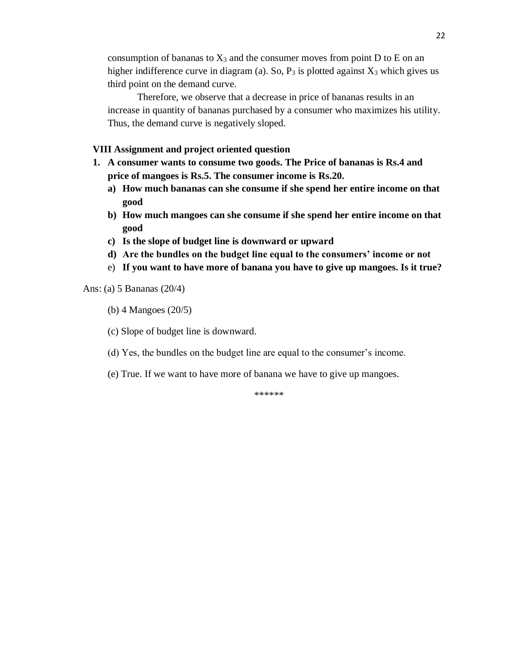consumption of bananas to  $X_3$  and the consumer moves from point D to E on an higher indifference curve in diagram (a). So,  $P_3$  is plotted against  $X_3$  which gives us third point on the demand curve.

Therefore, we observe that a decrease in price of bananas results in an increase in quantity of bananas purchased by a consumer who maximizes his utility. Thus, the demand curve is negatively sloped.

### **VIII Assignment and project oriented question**

- **1. A consumer wants to consume two goods. The Price of bananas is Rs.4 and price of mangoes is Rs.5. The consumer income is Rs.20.**
	- **a) How much bananas can she consume if she spend her entire income on that good**
	- **b) How much mangoes can she consume if she spend her entire income on that good**
	- **c) Is the slope of budget line is downward or upward**
	- **d) Are the bundles on the budget line equal to the consumers' income or not**
	- e) **If you want to have more of banana you have to give up mangoes. Is it true?**

Ans: (a) 5 Bananas (20/4)

(b) 4 Mangoes (20/5)

(c) Slope of budget line is downward.

- (d) Yes, the bundles on the budget line are equal to the consumer's income.
- (e) True. If we want to have more of banana we have to give up mangoes.

\*\*\*\*\*\*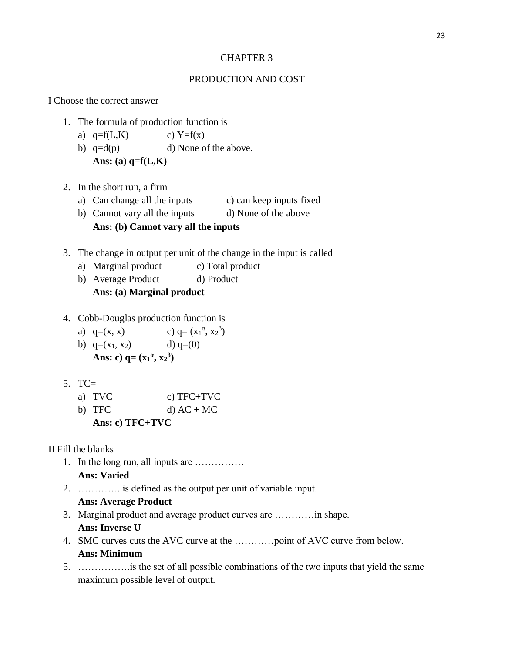#### CHAPTER 3

## PRODUCTION AND COST

I Choose the correct answer

- 1. The formula of production function is
	- a)  $q=f(L,K)$  c)  $Y=f(x)$
	- b)  $q=d(p)$  d) None of the above. **Ans: (a) q=f(L,K)**
- 2. In the short run, a firm
	- a) Can change all the inputs c) can keep inputs fixed
	- b) Cannot vary all the inputs d) None of the above **Ans: (b) Cannot vary all the inputs**
- 3. The change in output per unit of the change in the input is called
	- a) Marginal product c) Total product
	- b) Average Product d) Product **Ans: (a) Marginal product**
- 4. Cobb-Douglas production function is
	- a)  $q=(x, x)$ <sup>α</sup>,  $x_2$ <sup>β</sup>) b)  $q=(x_1, x_2)$  d)  $q=(0)$ **Ans:** c)  $q = (x_1^a, x_2^b)$
- 5. TC=

| a) TVC | c) TFC+TVC   |
|--------|--------------|
| b) TFC | $d) AC + MC$ |

**Ans: c) TFC+TVC**

II Fill the blanks

- 1. In the long run, all inputs are …………… **Ans: Varied**
- 2. …………..is defined as the output per unit of variable input. **Ans: Average Product**
- 3. Marginal product and average product curves are …………in shape. **Ans: Inverse U**
- 4. SMC curves cuts the AVC curve at the …………point of AVC curve from below. **Ans: Minimum**
- 5. …………….is the set of all possible combinations of the two inputs that yield the same maximum possible level of output.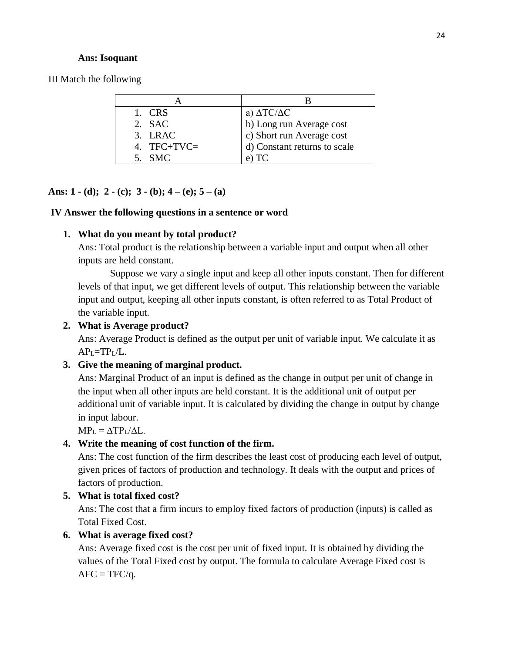#### **Ans: Isoquant**

III Match the following

| 1. CRS        | a) $\Delta \text{TC}/\Delta \text{C}$ |
|---------------|---------------------------------------|
| 2. SAC        | b) Long run Average cost              |
| 3. LRAC       | c) Short run Average cost             |
| 4. $TFC+TVC=$ | d) Constant returns to scale          |
| $5$ SMC       | $e)$ TC                               |

# **Ans: 1 - (d); 2 - (c); 3 - (b); 4 – (e); 5 – (a)**

#### **IV Answer the following questions in a sentence or word**

#### **1. What do you meant by total product?**

Ans: Total product is the relationship between a variable input and output when all other inputs are held constant.

Suppose we vary a single input and keep all other inputs constant. Then for different levels of that input, we get different levels of output. This relationship between the variable input and output, keeping all other inputs constant, is often referred to as Total Product of the variable input.

## **2. What is Average product?**

Ans: Average Product is defined as the output per unit of variable input. We calculate it as  $AP<sub>L</sub>=TP<sub>L</sub>/L$ .

#### **3. Give the meaning of marginal product.**

Ans: Marginal Product of an input is defined as the change in output per unit of change in the input when all other inputs are held constant. It is the additional unit of output per additional unit of variable input. It is calculated by dividing the change in output by change in input labour.

 $MP_L = \Delta TP_L / \Delta L$ .

# **4. Write the meaning of cost function of the firm.**

Ans: The cost function of the firm describes the least cost of producing each level of output, given prices of factors of production and technology. It deals with the output and prices of factors of production.

## **5. What is total fixed cost?**

Ans: The cost that a firm incurs to employ fixed factors of production (inputs) is called as Total Fixed Cost.

## **6. What is average fixed cost?**

Ans: Average fixed cost is the cost per unit of fixed input. It is obtained by dividing the values of the Total Fixed cost by output. The formula to calculate Average Fixed cost is  $AFC = TFC/q$ .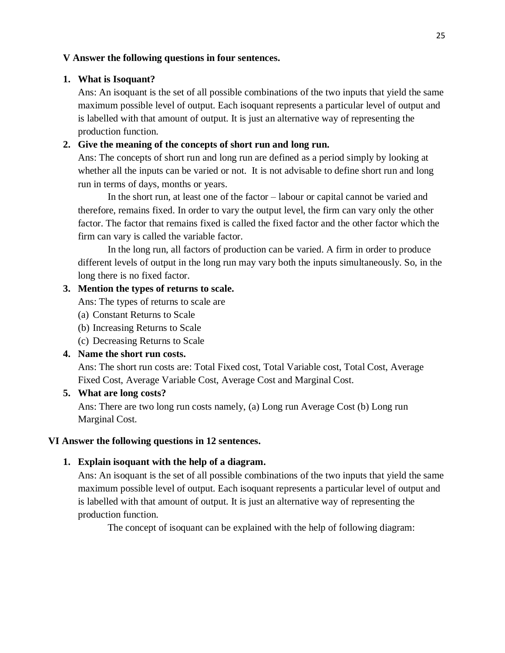## **V Answer the following questions in four sentences.**

#### **1. What is Isoquant?**

Ans: An isoquant is the set of all possible combinations of the two inputs that yield the same maximum possible level of output. Each isoquant represents a particular level of output and is labelled with that amount of output. It is just an alternative way of representing the production function.

## **2. Give the meaning of the concepts of short run and long run.**

Ans: The concepts of short run and long run are defined as a period simply by looking at whether all the inputs can be varied or not. It is not advisable to define short run and long run in terms of days, months or years.

In the short run, at least one of the factor – labour or capital cannot be varied and therefore, remains fixed. In order to vary the output level, the firm can vary only the other factor. The factor that remains fixed is called the fixed factor and the other factor which the firm can vary is called the variable factor.

In the long run, all factors of production can be varied. A firm in order to produce different levels of output in the long run may vary both the inputs simultaneously. So, in the long there is no fixed factor.

#### **3. Mention the types of returns to scale.**

Ans: The types of returns to scale are

- (a) Constant Returns to Scale
- (b) Increasing Returns to Scale
- (c) Decreasing Returns to Scale

## **4. Name the short run costs.**

Ans: The short run costs are: Total Fixed cost, Total Variable cost, Total Cost, Average Fixed Cost, Average Variable Cost, Average Cost and Marginal Cost.

#### **5. What are long costs?**

Ans: There are two long run costs namely, (a) Long run Average Cost (b) Long run Marginal Cost.

#### **VI Answer the following questions in 12 sentences.**

#### **1. Explain isoquant with the help of a diagram.**

Ans: An isoquant is the set of all possible combinations of the two inputs that yield the same maximum possible level of output. Each isoquant represents a particular level of output and is labelled with that amount of output. It is just an alternative way of representing the production function.

The concept of isoquant can be explained with the help of following diagram: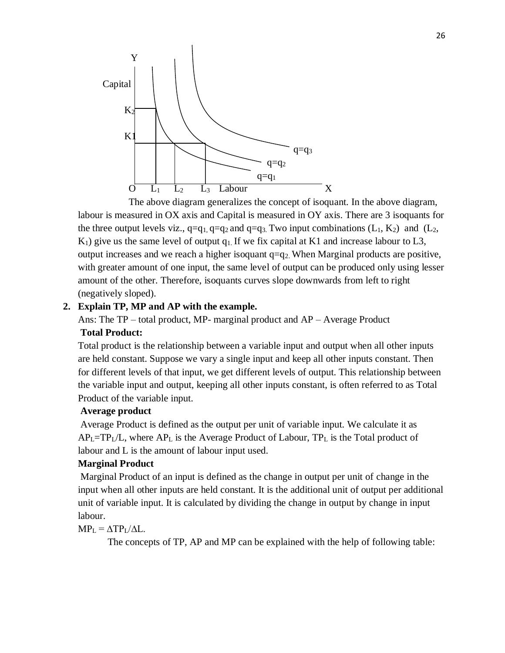

The above diagram generalizes the concept of isoquant. In the above diagram, labour is measured in OX axis and Capital is measured in OY axis. There are 3 isoquants for the three output levels viz.,  $q=q_1, q=q_2$  and  $q=q_3$ . Two input combinations (L<sub>1</sub>, K<sub>2</sub>) and (L<sub>2</sub>,  $K_1$ ) give us the same level of output  $q_1$ . If we fix capital at K1 and increase labour to L3, output increases and we reach a higher isoquant  $q=q_2$ . When Marginal products are positive, with greater amount of one input, the same level of output can be produced only using lesser amount of the other. Therefore, isoquants curves slope downwards from left to right (negatively sloped).

## **2. Explain TP, MP and AP with the example.**

Ans: The TP – total product, MP- marginal product and AP – Average Product **Total Product:**

Total product is the relationship between a variable input and output when all other inputs are held constant. Suppose we vary a single input and keep all other inputs constant. Then for different levels of that input, we get different levels of output. This relationship between the variable input and output, keeping all other inputs constant, is often referred to as Total Product of the variable input.

#### **Average product**

Average Product is defined as the output per unit of variable input. We calculate it as  $AP<sub>L</sub>=TP<sub>L</sub>/L$ , where  $AP<sub>L</sub>$  is the Average Product of Labour,  $TP<sub>L</sub>$  is the Total product of labour and L is the amount of labour input used.

#### **Marginal Product**

Marginal Product of an input is defined as the change in output per unit of change in the input when all other inputs are held constant. It is the additional unit of output per additional unit of variable input. It is calculated by dividing the change in output by change in input labour.

## $MP_L = \Delta TP_L / \Delta L$ .

The concepts of TP, AP and MP can be explained with the help of following table: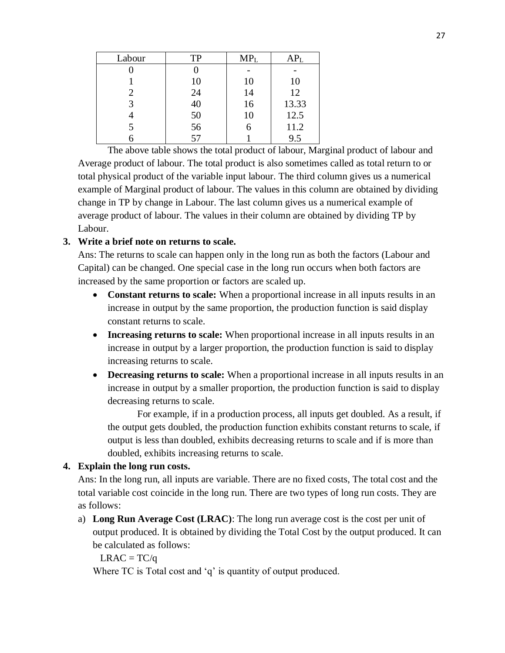| Labour | <b>TP</b> | MP <sub>L</sub> | $AP_{L}$ |
|--------|-----------|-----------------|----------|
|        |           |                 |          |
|        | 10        | 10              | 10       |
|        | 24        | 14              | 12       |
| 3      | 40        | 16              | 13.33    |
|        | 50        | 10              | 12.5     |
|        | 56        |                 | 11.2     |
|        | 57        |                 | 9.5      |

The above table shows the total product of labour, Marginal product of labour and Average product of labour. The total product is also sometimes called as total return to or total physical product of the variable input labour. The third column gives us a numerical example of Marginal product of labour. The values in this column are obtained by dividing change in TP by change in Labour. The last column gives us a numerical example of average product of labour. The values in their column are obtained by dividing TP by Labour.

# **3. Write a brief note on returns to scale.**

Ans: The returns to scale can happen only in the long run as both the factors (Labour and Capital) can be changed. One special case in the long run occurs when both factors are increased by the same proportion or factors are scaled up.

- **Constant returns to scale:** When a proportional increase in all inputs results in an increase in output by the same proportion, the production function is said display constant returns to scale.
- **Increasing returns to scale:** When proportional increase in all inputs results in an increase in output by a larger proportion, the production function is said to display increasing returns to scale.
- **Decreasing returns to scale:** When a proportional increase in all inputs results in an increase in output by a smaller proportion, the production function is said to display decreasing returns to scale.

For example, if in a production process, all inputs get doubled. As a result, if the output gets doubled, the production function exhibits constant returns to scale, if output is less than doubled, exhibits decreasing returns to scale and if is more than doubled, exhibits increasing returns to scale.

## **4. Explain the long run costs.**

Ans: In the long run, all inputs are variable. There are no fixed costs, The total cost and the total variable cost coincide in the long run. There are two types of long run costs. They are as follows:

a) **Long Run Average Cost (LRAC)**: The long run average cost is the cost per unit of output produced. It is obtained by dividing the Total Cost by the output produced. It can be calculated as follows:

 $LRAC = TC/q$ 

Where TC is Total cost and 'q' is quantity of output produced.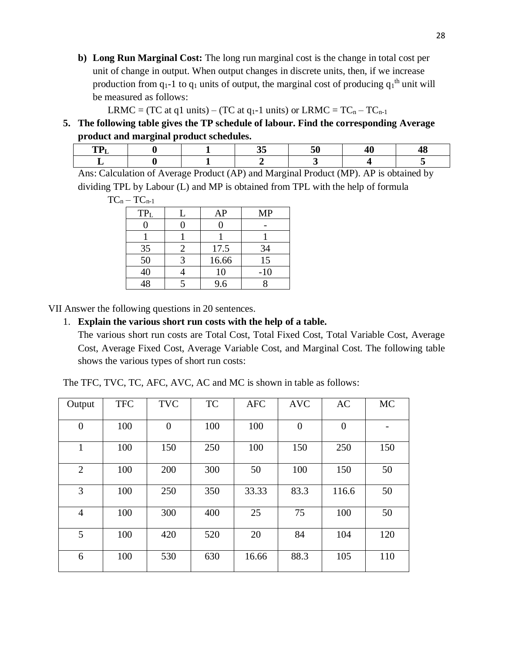**b) Long Run Marginal Cost:** The long run marginal cost is the change in total cost per unit of change in output. When output changes in discrete units, then, if we increase production from  $q_1$ -1 to  $q_1$  units of output, the marginal cost of producing  $q_1$ <sup>th</sup> unit will be measured as follows:

LRMC = (TC at q1 units) – (TC at q<sub>1</sub>-1 units) or LRMC =  $TC_n - TC_{n-1}$ 

**5. The following table gives the TP schedule of labour. Find the corresponding Average product and marginal product schedules.**

Ans: Calculation of Average Product (AP) and Marginal Product (MP). AP is obtained by dividing TPL by Labour (L) and MP is obtained from TPL with the help of formula

 $TC_n - TC_{n-1}$ 

| TP <sub>L</sub> |   | AP    | <b>MP</b> |
|-----------------|---|-------|-----------|
|                 |   |       |           |
|                 |   |       |           |
| 35              | 2 | 17.5  | 34        |
| 50              |   | 16.66 | 15        |
| 40              |   | 10    | $-10$     |
| $\overline{40}$ |   | 9.6   |           |

VII Answer the following questions in 20 sentences.

## 1. **Explain the various short run costs with the help of a table.**

The various short run costs are Total Cost, Total Fixed Cost, Total Variable Cost, Average Cost, Average Fixed Cost, Average Variable Cost, and Marginal Cost. The following table shows the various types of short run costs:

The TFC, TVC, TC, AFC, AVC, AC and MC is shown in table as follows:

| Output         | <b>TFC</b> | <b>TVC</b> | <b>TC</b> | <b>AFC</b> | <b>AVC</b>     | AC             | <b>MC</b> |
|----------------|------------|------------|-----------|------------|----------------|----------------|-----------|
| $\theta$       | 100        | $\theta$   | 100       | 100        | $\overline{0}$ | $\overline{0}$ |           |
| $\mathbf{1}$   | 100        | 150        | 250       | 100        | 150            | 250            | 150       |
| $\overline{2}$ | 100        | 200        | 300       | 50         | 100            | 150            | 50        |
| 3              | 100        | 250        | 350       | 33.33      | 83.3           | 116.6          | 50        |
| $\overline{4}$ | 100        | 300        | 400       | 25         | 75             | 100            | 50        |
| 5              | 100        | 420        | 520       | 20         | 84             | 104            | 120       |
| 6              | 100        | 530        | 630       | 16.66      | 88.3           | 105            | 110       |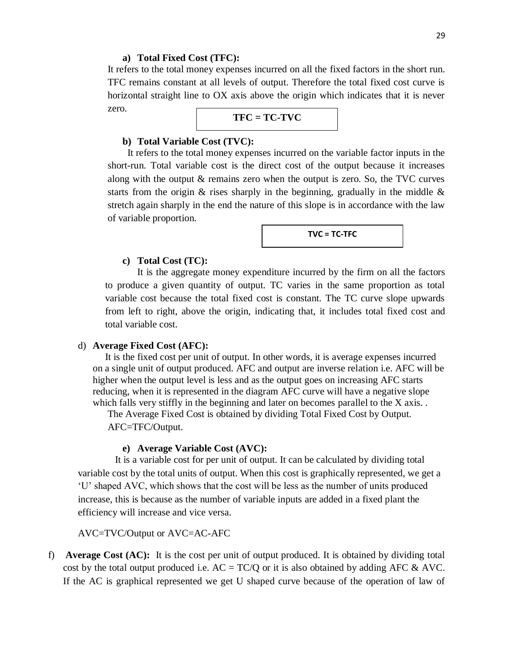#### **a) Total Fixed Cost (TFC):**

It refers to the total money expenses incurred on all the fixed factors in the short run. TFC remains constant at all levels of output. Therefore the total fixed cost curve is horizontal straight line to OX axis above the origin which indicates that it is never zero.

$$
TFC = TC-TVC
$$

#### **b) Total Variable Cost (TVC):**

 It refers to the total money expenses incurred on the variable factor inputs in the short-run. Total variable cost is the direct cost of the output because it increases along with the output & remains zero when the output is zero. So, the TVC curves starts from the origin  $\&$  rises sharply in the beginning, gradually in the middle  $\&$ stretch again sharply in the end the nature of this slope is in accordance with the law of variable proportion.



#### **c) Total Cost (TC):**

It is the aggregate money expenditure incurred by the firm on all the factors to produce a given quantity of output. TC varies in the same proportion as total variable cost because the total fixed cost is constant. The TC curve slope upwards from left to right, above the origin, indicating that, it includes total fixed cost and total variable cost.

#### d) **Average Fixed Cost (AFC):**

 It is the fixed cost per unit of output. In other words, it is average expenses incurred on a single unit of output produced. AFC and output are inverse relation i.e. AFC will be higher when the output level is less and as the output goes on increasing AFC starts reducing, when it is represented in the diagram AFC curve will have a negative slope which falls very stiffly in the beginning and later on becomes parallel to the X axis. .

The Average Fixed Cost is obtained by dividing Total Fixed Cost by Output. AFC=TFC/Output.

#### **e) Average Variable Cost (AVC):**

 It is a variable cost for per unit of output. It can be calculated by dividing total variable cost by the total units of output. When this cost is graphically represented, we get a 'U' shaped AVC, which shows that the cost will be less as the number of units produced increase, this is because as the number of variable inputs are added in a fixed plant the efficiency will increase and vice versa.

AVC=TVC/Output or AVC=AC-AFC

f) **Average Cost (AC):** It is the cost per unit of output produced. It is obtained by dividing total cost by the total output produced i.e.  $AC = TC/Q$  or it is also obtained by adding AFC & AVC. If the AC is graphical represented we get U shaped curve because of the operation of law of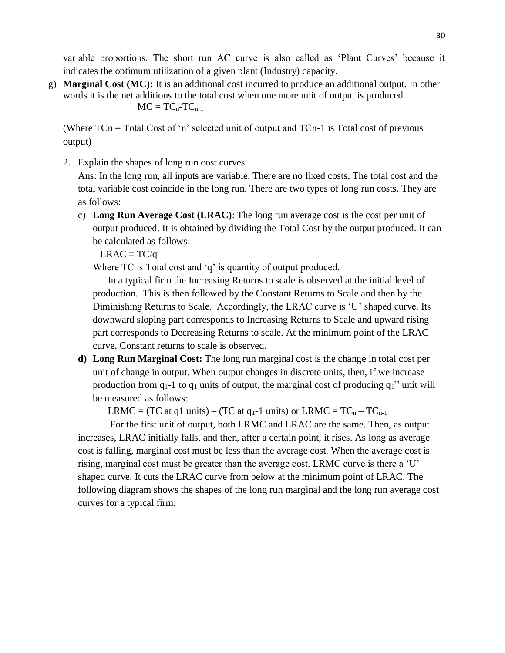variable proportions. The short run AC curve is also called as 'Plant Curves' because it indicates the optimum utilization of a given plant (Industry) capacity.

g) **Marginal Cost (MC):** It is an additional cost incurred to produce an additional output. In other words it is the net additions to the total cost when one more unit of output is produced.  $MC = TC_n-TC_{n-1}$ 

(Where  $TCn = Total Cost of 'n' selected unit of output and  $TCn-1$  is Total cost of previous$ output)

2. Explain the shapes of long run cost curves.

Ans: In the long run, all inputs are variable. There are no fixed costs, The total cost and the total variable cost coincide in the long run. There are two types of long run costs. They are as follows:

c) **Long Run Average Cost (LRAC)**: The long run average cost is the cost per unit of output produced. It is obtained by dividing the Total Cost by the output produced. It can be calculated as follows:

 $LRAC = TC/q$ 

Where TC is Total cost and 'q' is quantity of output produced.

In a typical firm the Increasing Returns to scale is observed at the initial level of production. This is then followed by the Constant Returns to Scale and then by the Diminishing Returns to Scale. Accordingly, the LRAC curve is 'U' shaped curve. Its downward sloping part corresponds to Increasing Returns to Scale and upward rising part corresponds to Decreasing Returns to scale. At the minimum point of the LRAC curve, Constant returns to scale is observed.

**d) Long Run Marginal Cost:** The long run marginal cost is the change in total cost per unit of change in output. When output changes in discrete units, then, if we increase production from  $q_1$ -1 to  $q_1$  units of output, the marginal cost of producing  $q_1$ <sup>th</sup> unit will be measured as follows:

LRMC = (TC at q1 units) – (TC at q<sub>1</sub>-1 units) or LRMC =  $TC_n - TC_{n-1}$ 

For the first unit of output, both LRMC and LRAC are the same. Then, as output increases, LRAC initially falls, and then, after a certain point, it rises. As long as average cost is falling, marginal cost must be less than the average cost. When the average cost is rising, marginal cost must be greater than the average cost. LRMC curve is there a 'U' shaped curve. It cuts the LRAC curve from below at the minimum point of LRAC. The following diagram shows the shapes of the long run marginal and the long run average cost curves for a typical firm.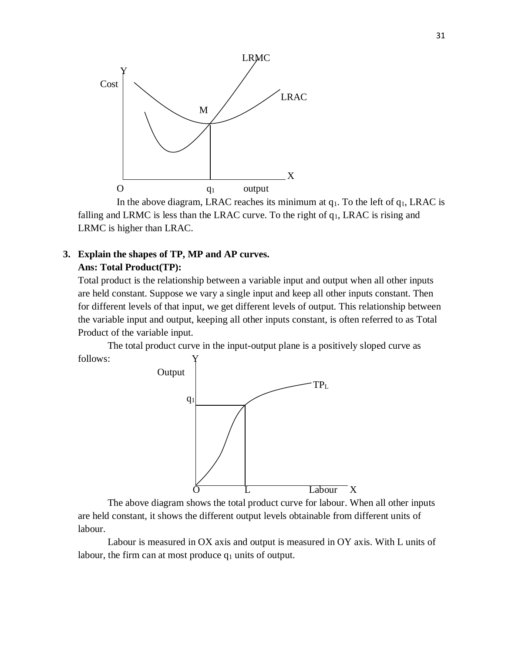

In the above diagram, LRAC reaches its minimum at  $q_1$ . To the left of  $q_1$ , LRAC is falling and LRMC is less than the LRAC curve. To the right of  $q_1$ , LRAC is rising and LRMC is higher than LRAC.

## **3. Explain the shapes of TP, MP and AP curves. Ans: Total Product(TP):**

Total product is the relationship between a variable input and output when all other inputs are held constant. Suppose we vary a single input and keep all other inputs constant. Then for different levels of that input, we get different levels of output. This relationship between the variable input and output, keeping all other inputs constant, is often referred to as Total Product of the variable input.

The total product curve in the input-output plane is a positively sloped curve as follows:



The above diagram shows the total product curve for labour. When all other inputs are held constant, it shows the different output levels obtainable from different units of labour.

Labour is measured in OX axis and output is measured in OY axis. With L units of labour, the firm can at most produce  $q_1$  units of output.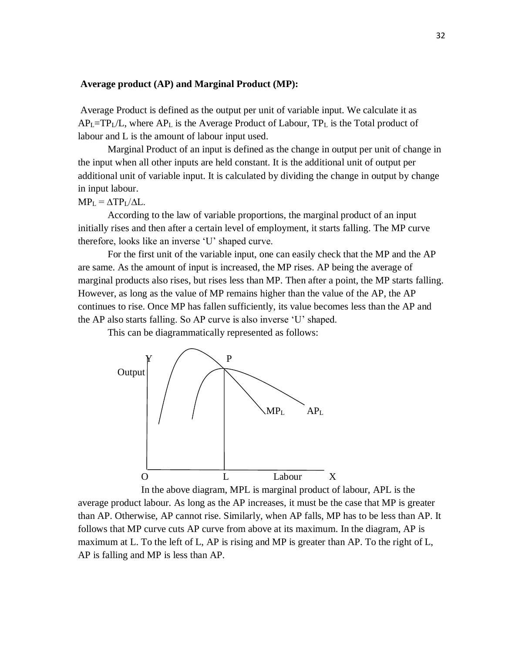#### **Average product (AP) and Marginal Product (MP):**

Average Product is defined as the output per unit of variable input. We calculate it as  $AP<sub>L</sub>=TP<sub>L</sub>/L$ , where  $AP<sub>L</sub>$  is the Average Product of Labour, TP<sub>L</sub> is the Total product of labour and L is the amount of labour input used.

Marginal Product of an input is defined as the change in output per unit of change in the input when all other inputs are held constant. It is the additional unit of output per additional unit of variable input. It is calculated by dividing the change in output by change in input labour.

 $MP_L = \Delta TP_L / \Delta L$ .

According to the law of variable proportions, the marginal product of an input initially rises and then after a certain level of employment, it starts falling. The MP curve therefore, looks like an inverse 'U' shaped curve.

For the first unit of the variable input, one can easily check that the MP and the AP are same. As the amount of input is increased, the MP rises. AP being the average of marginal products also rises, but rises less than MP. Then after a point, the MP starts falling. However, as long as the value of MP remains higher than the value of the AP, the AP continues to rise. Once MP has fallen sufficiently, its value becomes less than the AP and the AP also starts falling. So AP curve is also inverse 'U' shaped.

This can be diagrammatically represented as follows:



In the above diagram, MPL is marginal product of labour, APL is the average product labour. As long as the AP increases, it must be the case that MP is greater than AP. Otherwise, AP cannot rise. Similarly, when AP falls, MP has to be less than AP. It follows that MP curve cuts AP curve from above at its maximum. In the diagram, AP is maximum at L. To the left of L, AP is rising and MP is greater than AP. To the right of L, AP is falling and MP is less than AP.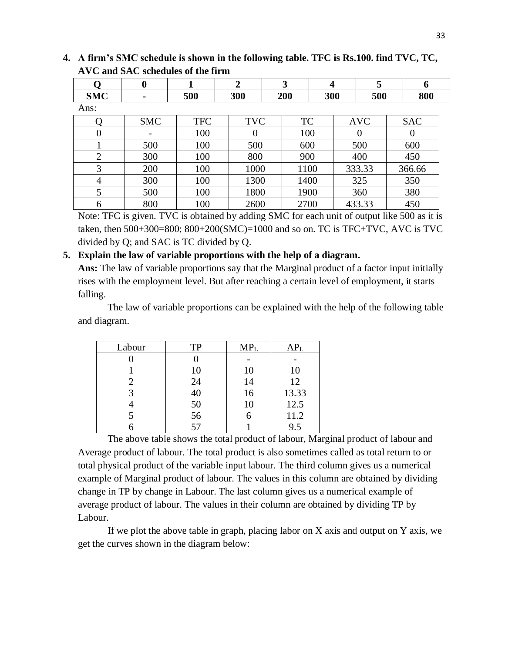|                | $\boldsymbol{0}$ |            | $\overline{2}$ | 3         | $\boldsymbol{4}$ | 5          | 6          |
|----------------|------------------|------------|----------------|-----------|------------------|------------|------------|
| <b>SMC</b>     | ۰                | 500        | 300            | 200       | 300              | 500        | 800        |
| Ans:           |                  |            |                |           |                  |            |            |
|                | <b>SMC</b>       | <b>TFC</b> | <b>TVC</b>     | <b>TC</b> |                  | <b>AVC</b> | <b>SAC</b> |
|                |                  | 100        | $\theta$       | 100       |                  |            | O          |
|                | 500              | 100        | 500            | 600       |                  | 500        | 600        |
| $\overline{2}$ | 300              | 100        | 800            | 900       |                  | 400        | 450        |
| 3              | 200              | 100        | 1000           | 1100      |                  | 333.33     | 366.66     |
| 4              | 300              | 100        | 1300           | 1400      |                  | 325        | 350        |
| 5              | 500              | 100        | 1800           | 1900      |                  | 360        | 380        |
| 6              | 800              | 100        | 2600           | 2700      |                  | 433.33     | 450        |

**4. A firm's SMC schedule is shown in the following table. TFC is Rs.100. find TVC, TC, AVC and SAC schedules of the firm**

Note: TFC is given. TVC is obtained by adding SMC for each unit of output like 500 as it is taken, then 500+300=800; 800+200(SMC)=1000 and so on. TC is TFC+TVC, AVC is TVC divided by Q; and SAC is TC divided by Q.

### **5. Explain the law of variable proportions with the help of a diagram.**

**Ans:** The law of variable proportions say that the Marginal product of a factor input initially rises with the employment level. But after reaching a certain level of employment, it starts falling.

The law of variable proportions can be explained with the help of the following table and diagram.

| Labour | <b>TP</b> | MP <sub>L</sub> | APL   |
|--------|-----------|-----------------|-------|
|        |           |                 |       |
|        | 10        | 10              | 10    |
|        | 24        | 14              | 12    |
|        | 40        | 16              | 13.33 |
|        | 50        | 10              | 12.5  |
|        | 56        |                 | 11.2  |
|        | 57        |                 | 9.5   |

The above table shows the total product of labour, Marginal product of labour and Average product of labour. The total product is also sometimes called as total return to or total physical product of the variable input labour. The third column gives us a numerical example of Marginal product of labour. The values in this column are obtained by dividing change in TP by change in Labour. The last column gives us a numerical example of average product of labour. The values in their column are obtained by dividing TP by Labour.

If we plot the above table in graph, placing labor on X axis and output on Y axis, we get the curves shown in the diagram below: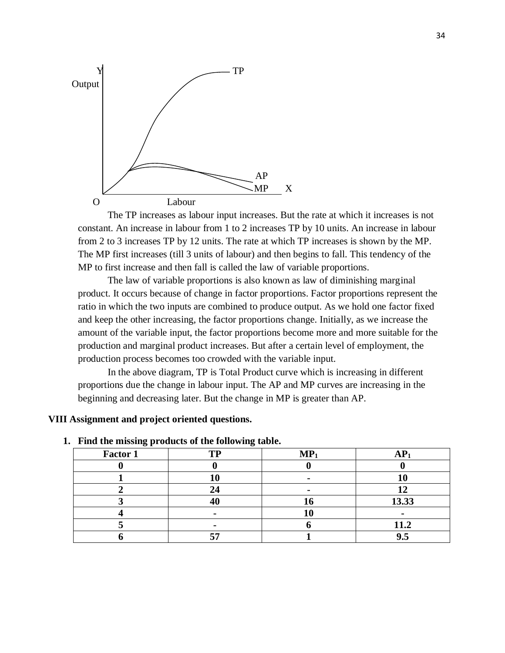

The TP increases as labour input increases. But the rate at which it increases is not constant. An increase in labour from 1 to 2 increases TP by 10 units. An increase in labour from 2 to 3 increases TP by 12 units. The rate at which TP increases is shown by the MP. The MP first increases (till 3 units of labour) and then begins to fall. This tendency of the MP to first increase and then fall is called the law of variable proportions.

The law of variable proportions is also known as law of diminishing marginal product. It occurs because of change in factor proportions. Factor proportions represent the ratio in which the two inputs are combined to produce output. As we hold one factor fixed and keep the other increasing, the factor proportions change. Initially, as we increase the amount of the variable input, the factor proportions become more and more suitable for the production and marginal product increases. But after a certain level of employment, the production process becomes too crowded with the variable input.

In the above diagram, TP is Total Product curve which is increasing in different proportions due the change in labour input. The AP and MP curves are increasing in the beginning and decreasing later. But the change in MP is greater than AP.

#### **VIII Assignment and project oriented questions.**

| Factor 1 | TP | $MP_1$ | AP <sub>1</sub> |
|----------|----|--------|-----------------|
|          |    |        |                 |
|          | LU |        |                 |
|          | 24 |        |                 |
|          | 40 | 10     | 13.33           |
|          |    | ΙU     |                 |
|          |    |        | 11.2            |
|          | -- |        | 9.5             |

#### **1. Find the missing products of the following table.**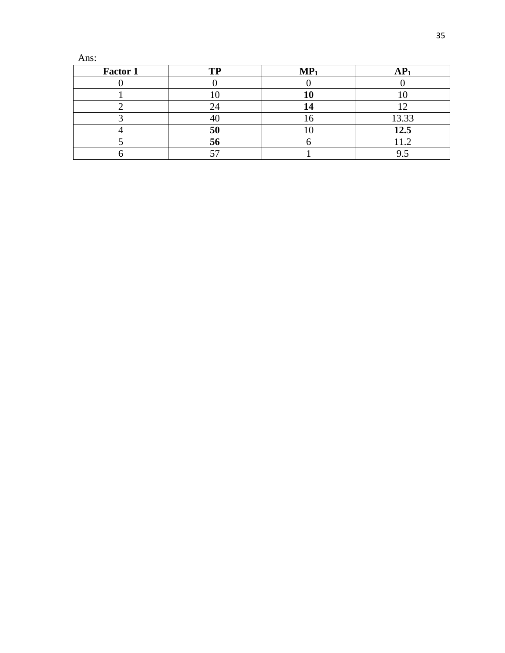Ans:

| Factor 1 | <b>TP</b>    | MP <sub>1</sub> |        |
|----------|--------------|-----------------|--------|
|          |              |                 |        |
|          |              |                 |        |
|          |              |                 |        |
|          |              |                 | 13.33  |
|          | 50           |                 | 12.5   |
|          | $50^{\circ}$ |                 | L L .∠ |
|          |              |                 |        |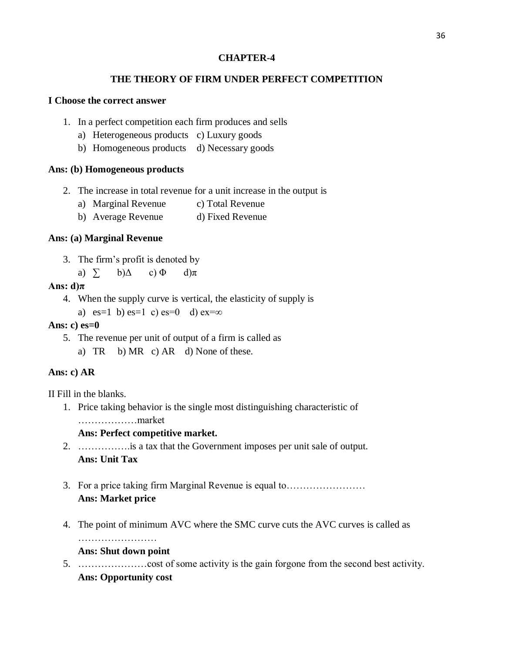## **CHAPTER-4**

# **THE THEORY OF FIRM UNDER PERFECT COMPETITION**

#### **I Choose the correct answer**

- 1. In a perfect competition each firm produces and sells
	- a) Heterogeneous products c) Luxury goods
	- b) Homogeneous products d) Necessary goods

## **Ans: (b) Homogeneous products**

- 2. The increase in total revenue for a unit increase in the output is
	- a) Marginal Revenue c) Total Revenue
	- b) Average Revenue d) Fixed Revenue

# **Ans: (a) Marginal Revenue**

- 3. The firm's profit is denoted by
	- a)  $\sum$  b) $\Delta$  c)  $\Phi$  d) $\pi$

## **Ans: d)π**

4. When the supply curve is vertical, the elasticity of supply is

a) es=1 b) es=1 c) es=0 d) ex= $\infty$ 

## **Ans: c) es=0**

5. The revenue per unit of output of a firm is called as a) TR b) MR c) AR d) None of these.

# **Ans: c) AR**

II Fill in the blanks.

1. Price taking behavior is the single most distinguishing characteristic of ………………market

## **Ans: Perfect competitive market.**

- 2. …………….is a tax that the Government imposes per unit sale of output. **Ans: Unit Tax**
- 3. For a price taking firm Marginal Revenue is equal to…………………… **Ans: Market price**
- 4. The point of minimum AVC where the SMC curve cuts the AVC curves is called as

## **Ans: Shut down point**

5. …………………cost of some activity is the gain forgone from the second best activity. **Ans: Opportunity cost**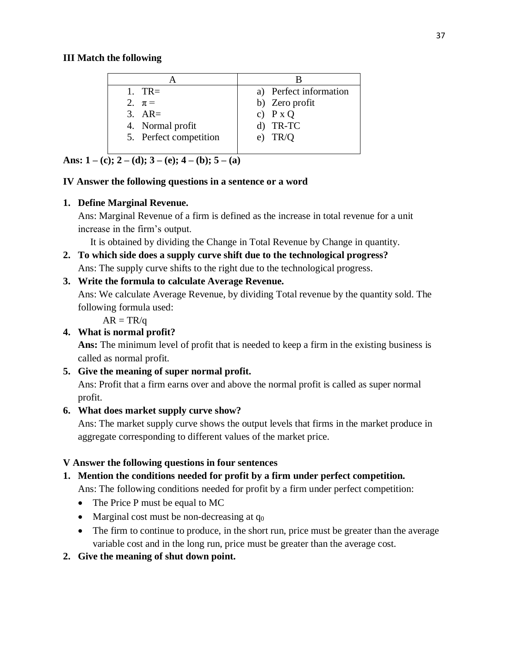# **III Match the following**

| 1. TR $\equiv$         | a) Perfect information |
|------------------------|------------------------|
| 2. $\pi$ =             | b) Zero profit         |
| $3. \quad AR=$         | c) $P X Q$             |
| 4. Normal profit       | $d)$ TR-TC             |
| 5. Perfect competition | e) $TR/O$              |
|                        |                        |

**Ans:**  $1 - (c)$ ;  $2 - (d)$ ;  $3 - (e)$ ;  $4 - (b)$ ;  $5 - (a)$ 

# **IV Answer the following questions in a sentence or a word**

# **1. Define Marginal Revenue.**

Ans: Marginal Revenue of a firm is defined as the increase in total revenue for a unit increase in the firm's output.

It is obtained by dividing the Change in Total Revenue by Change in quantity.

# **2. To which side does a supply curve shift due to the technological progress?**

Ans: The supply curve shifts to the right due to the technological progress.

# **3. Write the formula to calculate Average Revenue.**

Ans: We calculate Average Revenue, by dividing Total revenue by the quantity sold. The following formula used:

 $AR = TR/a$ 

# **4. What is normal profit?**

**Ans:** The minimum level of profit that is needed to keep a firm in the existing business is called as normal profit.

# **5. Give the meaning of super normal profit.**

Ans: Profit that a firm earns over and above the normal profit is called as super normal profit.

# **6. What does market supply curve show?**

Ans: The market supply curve shows the output levels that firms in the market produce in aggregate corresponding to different values of the market price.

# **V Answer the following questions in four sentences**

# **1. Mention the conditions needed for profit by a firm under perfect competition.**

Ans: The following conditions needed for profit by a firm under perfect competition:

- The Price P must be equal to MC
- Marginal cost must be non-decreasing at  $q_0$
- The firm to continue to produce, in the short run, price must be greater than the average variable cost and in the long run, price must be greater than the average cost.
- **2. Give the meaning of shut down point.**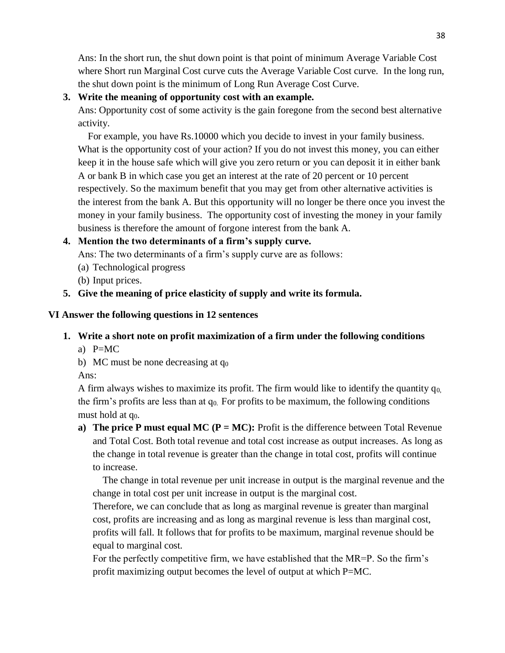Ans: In the short run, the shut down point is that point of minimum Average Variable Cost where Short run Marginal Cost curve cuts the Average Variable Cost curve. In the long run, the shut down point is the minimum of Long Run Average Cost Curve.

# **3. Write the meaning of opportunity cost with an example.**

Ans: Opportunity cost of some activity is the gain foregone from the second best alternative activity.

 For example, you have Rs.10000 which you decide to invest in your family business. What is the opportunity cost of your action? If you do not invest this money, you can either keep it in the house safe which will give you zero return or you can deposit it in either bank A or bank B in which case you get an interest at the rate of 20 percent or 10 percent respectively. So the maximum benefit that you may get from other alternative activities is the interest from the bank A. But this opportunity will no longer be there once you invest the money in your family business. The opportunity cost of investing the money in your family business is therefore the amount of forgone interest from the bank A.

# **4. Mention the two determinants of a firm's supply curve.**

Ans: The two determinants of a firm's supply curve are as follows:

- (a) Technological progress
- (b) Input prices.
- **5. Give the meaning of price elasticity of supply and write its formula.**

# **VI Answer the following questions in 12 sentences**

# **1. Write a short note on profit maximization of a firm under the following conditions**

- a) P=MC
- b) MC must be none decreasing at  $q_0$

Ans:

A firm always wishes to maximize its profit. The firm would like to identify the quantity  $q_{0}$ , the firm's profits are less than at  $q_0$ . For profits to be maximum, the following conditions must hold at q<sub>0</sub>.

**a) The price P must equal MC (P = MC):** Profit is the difference between Total Revenue and Total Cost. Both total revenue and total cost increase as output increases. As long as the change in total revenue is greater than the change in total cost, profits will continue to increase.

The change in total revenue per unit increase in output is the marginal revenue and the change in total cost per unit increase in output is the marginal cost.

Therefore, we can conclude that as long as marginal revenue is greater than marginal cost, profits are increasing and as long as marginal revenue is less than marginal cost, profits will fall. It follows that for profits to be maximum, marginal revenue should be equal to marginal cost.

For the perfectly competitive firm, we have established that the MR=P. So the firm's profit maximizing output becomes the level of output at which P=MC.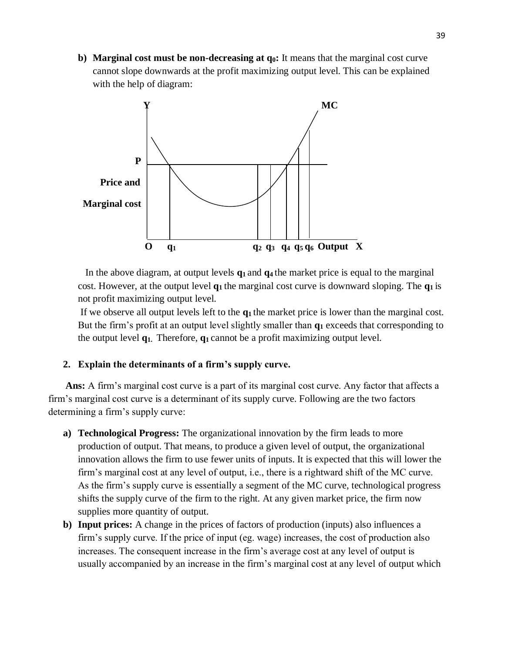**b) Marginal cost must be non-decreasing at q0:** It means that the marginal cost curve cannot slope downwards at the profit maximizing output level. This can be explained with the help of diagram:



In the above diagram, at output levels **q1** and **q4** the market price is equal to the marginal cost. However, at the output level **q1** the marginal cost curve is downward sloping. The **q1** is not profit maximizing output level.

If we observe all output levels left to the **q1** the market price is lower than the marginal cost. But the firm's profit at an output level slightly smaller than **q<sup>1</sup>** exceeds that corresponding to the output level **q1.** Therefore, **q1** cannot be a profit maximizing output level.

## **2. Explain the determinants of a firm's supply curve.**

 **Ans:** A firm's marginal cost curve is a part of its marginal cost curve. Any factor that affects a firm's marginal cost curve is a determinant of its supply curve. Following are the two factors determining a firm's supply curve:

- **a) Technological Progress:** The organizational innovation by the firm leads to more production of output. That means, to produce a given level of output, the organizational innovation allows the firm to use fewer units of inputs. It is expected that this will lower the firm's marginal cost at any level of output, i.e., there is a rightward shift of the MC curve. As the firm's supply curve is essentially a segment of the MC curve, technological progress shifts the supply curve of the firm to the right. At any given market price, the firm now supplies more quantity of output.
- **b) Input prices:** A change in the prices of factors of production (inputs) also influences a firm's supply curve. If the price of input (eg. wage) increases, the cost of production also increases. The consequent increase in the firm's average cost at any level of output is usually accompanied by an increase in the firm's marginal cost at any level of output which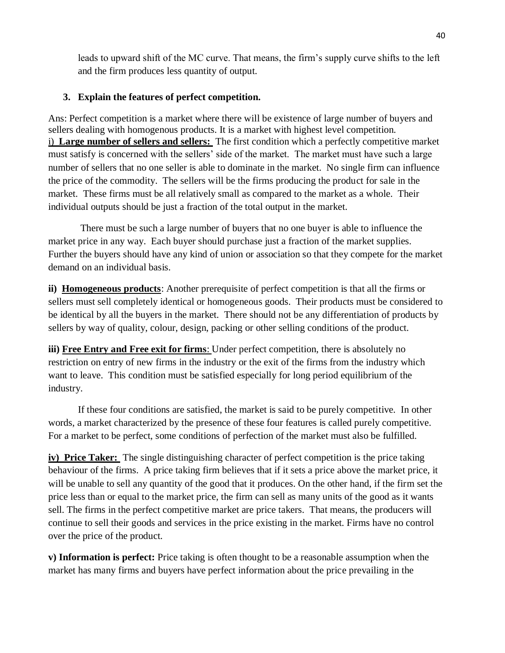leads to upward shift of the MC curve. That means, the firm's supply curve shifts to the left and the firm produces less quantity of output.

# **3. Explain the features of perfect competition.**

Ans: Perfect competition is a market where there will be existence of large number of buyers and sellers dealing with homogenous products. It is a market with highest level competition. i) **Large number of sellers and sellers:** The first condition which a perfectly competitive market must satisfy is concerned with the sellers' side of the market. The market must have such a large number of sellers that no one seller is able to dominate in the market. No single firm can influence the price of the commodity. The sellers will be the firms producing the product for sale in the market. These firms must be all relatively small as compared to the market as a whole. Their individual outputs should be just a fraction of the total output in the market.

There must be such a large number of buyers that no one buyer is able to influence the market price in any way. Each buyer should purchase just a fraction of the market supplies. Further the buyers should have any kind of union or association so that they compete for the market demand on an individual basis.

**ii) Homogeneous products**: Another prerequisite of perfect competition is that all the firms or sellers must sell completely identical or homogeneous goods. Their products must be considered to be identical by all the buyers in the market. There should not be any differentiation of products by sellers by way of quality, colour, design, packing or other selling conditions of the product.

**iii) Free Entry and Free exit for firms**: Under perfect competition, there is absolutely no restriction on entry of new firms in the industry or the exit of the firms from the industry which want to leave. This condition must be satisfied especially for long period equilibrium of the industry.

If these four conditions are satisfied, the market is said to be purely competitive. In other words, a market characterized by the presence of these four features is called purely competitive. For a market to be perfect, some conditions of perfection of the market must also be fulfilled.

**iv) Price Taker:** The single distinguishing character of perfect competition is the price taking behaviour of the firms. A price taking firm believes that if it sets a price above the market price, it will be unable to sell any quantity of the good that it produces. On the other hand, if the firm set the price less than or equal to the market price, the firm can sell as many units of the good as it wants sell. The firms in the perfect competitive market are price takers. That means, the producers will continue to sell their goods and services in the price existing in the market. Firms have no control over the price of the product.

**v) Information is perfect:** Price taking is often thought to be a reasonable assumption when the market has many firms and buyers have perfect information about the price prevailing in the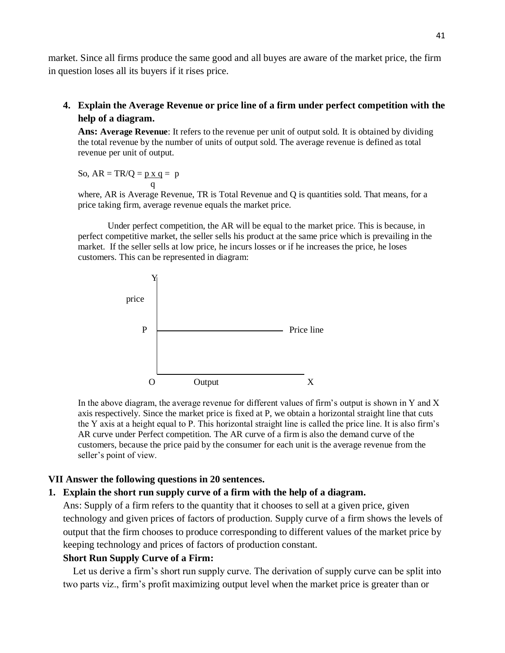market. Since all firms produce the same good and all buyes are aware of the market price, the firm in question loses all its buyers if it rises price.

**4. Explain the Average Revenue or price line of a firm under perfect competition with the help of a diagram.**

**Ans: Average Revenue**: It refers to the revenue per unit of output sold. It is obtained by dividing the total revenue by the number of units of output sold. The average revenue is defined as total revenue per unit of output.

So,  $AR = TR/O = p x q = p$ q

where, AR is Average Revenue, TR is Total Revenue and Q is quantities sold. That means, for a price taking firm, average revenue equals the market price.

Under perfect competition, the AR will be equal to the market price. This is because, in perfect competitive market, the seller sells his product at the same price which is prevailing in the market. If the seller sells at low price, he incurs losses or if he increases the price, he loses customers. This can be represented in diagram:



In the above diagram, the average revenue for different values of firm's output is shown in Y and X axis respectively. Since the market price is fixed at P, we obtain a horizontal straight line that cuts the Y axis at a height equal to P. This horizontal straight line is called the price line. It is also firm's AR curve under Perfect competition. The AR curve of a firm is also the demand curve of the customers, because the price paid by the consumer for each unit is the average revenue from the seller's point of view.

#### **VII Answer the following questions in 20 sentences.**

#### **1. Explain the short run supply curve of a firm with the help of a diagram.**

Ans: Supply of a firm refers to the quantity that it chooses to sell at a given price, given technology and given prices of factors of production. Supply curve of a firm shows the levels of output that the firm chooses to produce corresponding to different values of the market price by keeping technology and prices of factors of production constant.

## **Short Run Supply Curve of a Firm:**

Let us derive a firm's short run supply curve. The derivation of supply curve can be split into two parts viz., firm's profit maximizing output level when the market price is greater than or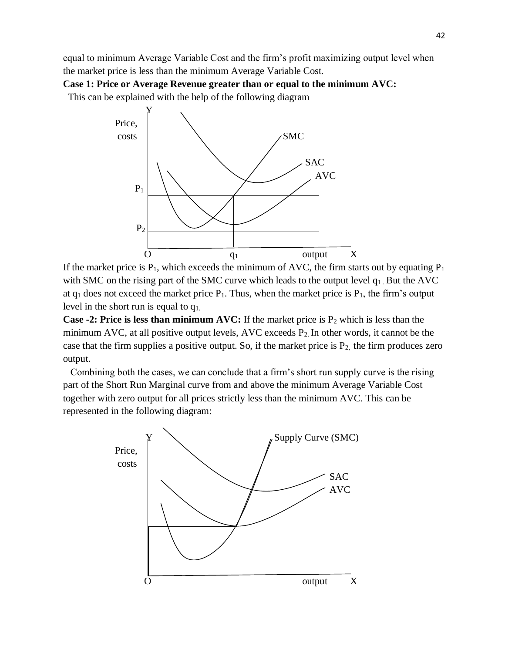equal to minimum Average Variable Cost and the firm's profit maximizing output level when the market price is less than the minimum Average Variable Cost.

**Case 1: Price or Average Revenue greater than or equal to the minimum AVC:**

This can be explained with the help of the following diagram



If the market price is  $P_1$ , which exceeds the minimum of AVC, the firm starts out by equating  $P_1$ with SMC on the rising part of the SMC curve which leads to the output level  $q_1$ . But the AVC at  $q_1$  does not exceed the market price  $P_1$ . Thus, when the market price is  $P_1$ , the firm's output level in the short run is equal to q1.

**Case -2: Price is less than minimum AVC:** If the market price is  $P_2$  which is less than the minimum AVC, at all positive output levels, AVC exceeds  $P_2$ . In other words, it cannot be the case that the firm supplies a positive output. So, if the market price is  $P_2$ , the firm produces zero output.

Combining both the cases, we can conclude that a firm's short run supply curve is the rising part of the Short Run Marginal curve from and above the minimum Average Variable Cost together with zero output for all prices strictly less than the minimum AVC. This can be represented in the following diagram:

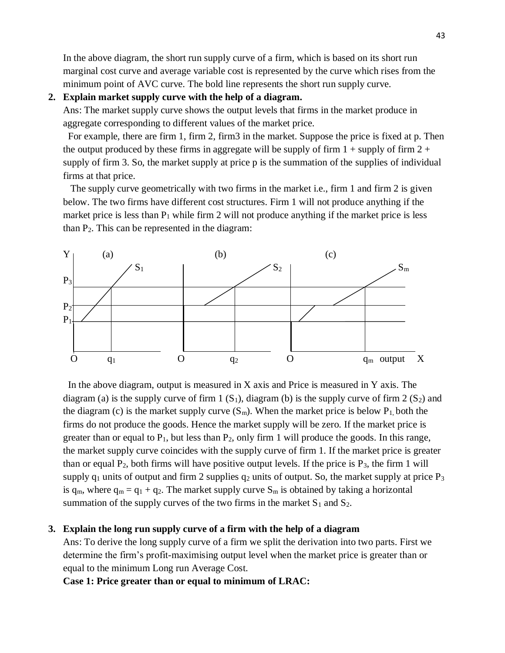In the above diagram, the short run supply curve of a firm, which is based on its short run marginal cost curve and average variable cost is represented by the curve which rises from the minimum point of AVC curve. The bold line represents the short run supply curve.

## **2. Explain market supply curve with the help of a diagram.**

Ans: The market supply curve shows the output levels that firms in the market produce in aggregate corresponding to different values of the market price.

 For example, there are firm 1, firm 2, firm3 in the market. Suppose the price is fixed at p. Then the output produced by these firms in aggregate will be supply of firm  $1 +$  supply of firm  $2 +$ supply of firm 3. So, the market supply at price p is the summation of the supplies of individual firms at that price.

 The supply curve geometrically with two firms in the market i.e., firm 1 and firm 2 is given below. The two firms have different cost structures. Firm 1 will not produce anything if the market price is less than  $P_1$  while firm 2 will not produce anything if the market price is less than  $P_2$ . This can be represented in the diagram:



In the above diagram, output is measured in  $X$  axis and Price is measured in  $Y$  axis. The diagram (a) is the supply curve of firm  $1 (S_1)$ , diagram (b) is the supply curve of firm  $2 (S_2)$  and the diagram (c) is the market supply curve  $(S_m)$ . When the market price is below  $P_1$ , both the firms do not produce the goods. Hence the market supply will be zero. If the market price is greater than or equal to  $P_1$ , but less than  $P_2$ , only firm 1 will produce the goods. In this range, the market supply curve coincides with the supply curve of firm 1. If the market price is greater than or equal  $P_2$ , both firms will have positive output levels. If the price is  $P_3$ , the firm 1 will supply  $q_1$  units of output and firm 2 supplies  $q_2$  units of output. So, the market supply at price  $P_3$ is  $q_m$ , where  $q_m = q_1 + q_2$ . The market supply curve  $S_m$  is obtained by taking a horizontal summation of the supply curves of the two firms in the market  $S_1$  and  $S_2$ .

## **3. Explain the long run supply curve of a firm with the help of a diagram**

Ans: To derive the long supply curve of a firm we split the derivation into two parts. First we determine the firm's profit-maximising output level when the market price is greater than or equal to the minimum Long run Average Cost.

**Case 1: Price greater than or equal to minimum of LRAC:**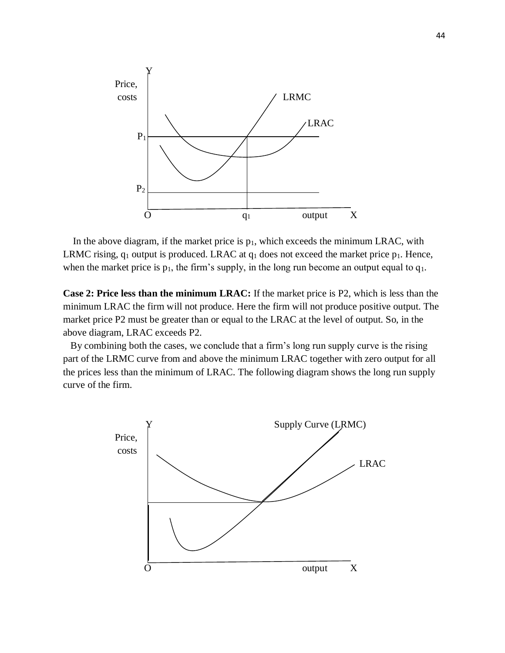

In the above diagram, if the market price is  $p_1$ , which exceeds the minimum LRAC, with LRMC rising,  $q_1$  output is produced. LRAC at  $q_1$  does not exceed the market price  $p_1$ . Hence, when the market price is  $p_1$ , the firm's supply, in the long run become an output equal to  $q_1$ .

**Case 2: Price less than the minimum LRAC:** If the market price is P2, which is less than the minimum LRAC the firm will not produce. Here the firm will not produce positive output. The market price P2 must be greater than or equal to the LRAC at the level of output. So, in the above diagram, LRAC exceeds P2.

By combining both the cases, we conclude that a firm's long run supply curve is the rising part of the LRMC curve from and above the minimum LRAC together with zero output for all the prices less than the minimum of LRAC. The following diagram shows the long run supply curve of the firm.

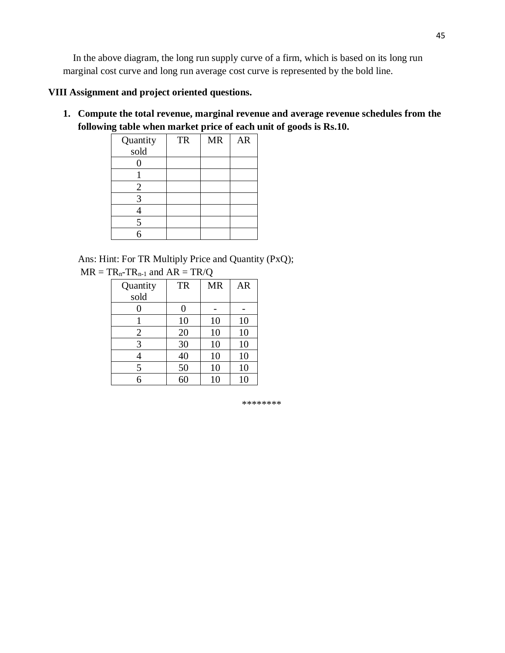In the above diagram, the long run supply curve of a firm, which is based on its long run marginal cost curve and long run average cost curve is represented by the bold line.

# **VIII Assignment and project oriented questions.**

**1. Compute the total revenue, marginal revenue and average revenue schedules from the following table when market price of each unit of goods is Rs.10.**

| Quantity | <b>TR</b> | <b>MR</b> | <b>AR</b> |
|----------|-----------|-----------|-----------|
| sold     |           |           |           |
|          |           |           |           |
|          |           |           |           |
| 2        |           |           |           |
| 3        |           |           |           |
|          |           |           |           |
| 5        |           |           |           |
|          |           |           |           |

Ans: Hint: For TR Multiply Price and Quantity (PxQ);  $MR = TR<sub>n-1</sub>$  and  $AR = TR/O$ 

| Quantity       | <b>TR</b> | <b>MR</b> | <b>AR</b> |
|----------------|-----------|-----------|-----------|
| sold           |           |           |           |
| 0              | 0         |           |           |
|                | 10        | 10        | 10        |
| $\overline{2}$ | 20        | 10        | 10        |
| 3              | 30        | 10        | 10        |
|                | 40        | 10        | 10        |
| 5              | 50        | 10        | 10        |
|                | 60        | 10        | 10        |

\*\*\*\*\*\*\*\*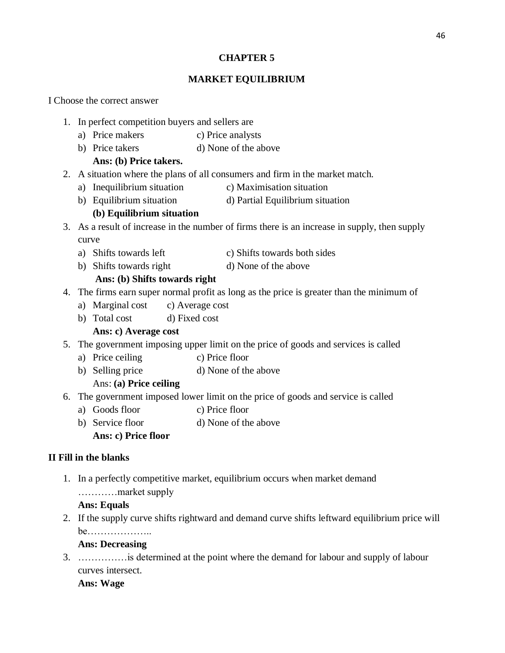# **CHAPTER 5**

# **MARKET EQUILIBRIUM**

## I Choose the correct answer

- 1. In perfect competition buyers and sellers are
	- a) Price makers c) Price analysts
	- b) Price takers d) None of the above

# **Ans: (b) Price takers.**

- 2. A situation where the plans of all consumers and firm in the market match.
	- a) Inequilibrium situation c) Maximisation situation
	- b) Equilibrium situation d) Partial Equilibrium situation

# **(b) Equilibrium situation**

- 3. As a result of increase in the number of firms there is an increase in supply, then supply curve
	- a) Shifts towards left c) Shifts towards both sides
	- b) Shifts towards right d) None of the above

# **Ans: (b) Shifts towards right**

- 4. The firms earn super normal profit as long as the price is greater than the minimum of
	- a) Marginal cost c) Average cost
	- b) Total cost d) Fixed cost

# **Ans: c) Average cost**

- 5. The government imposing upper limit on the price of goods and services is called
	- a) Price ceiling c) Price floor
	- b) Selling price d) None of the above

# Ans: **(a) Price ceiling**

- 6. The government imposed lower limit on the price of goods and service is called
	- a) Goods floor c) Price floor
	- b) Service floor d) None of the above

# **Ans: c) Price floor**

# **II Fill in the blanks**

1. In a perfectly competitive market, equilibrium occurs when market demand

…………market supply

# **Ans: Equals**

2. If the supply curve shifts rightward and demand curve shifts leftward equilibrium price will be………………..

# **Ans: Decreasing**

3. ……………is determined at the point where the demand for labour and supply of labour curves intersect.

# **Ans: Wage**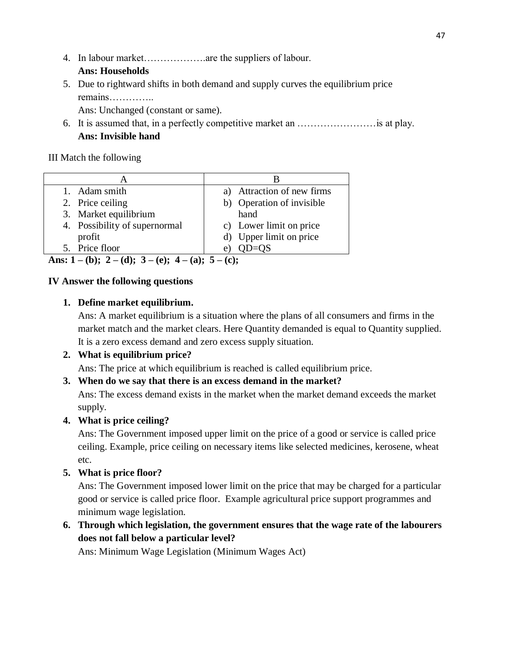4. In labour market……………….are the suppliers of labour.

# **Ans: Households**

5. Due to rightward shifts in both demand and supply curves the equilibrium price remains…………..

Ans: Unchanged (constant or same).

6. It is assumed that, in a perfectly competitive market an ……………………is at play. **Ans: Invisible hand**

# III Match the following

| 1. Adam smith                 | a) Attraction of new firms |
|-------------------------------|----------------------------|
| 2. Price ceiling              | b) Operation of invisible  |
| 3. Market equilibrium         | hand                       |
| 4. Possibility of supernormal | c) Lower limit on price    |
| profit                        | d) Upper limit on price    |
| 5. Price floor                | e                          |

**Ans: 1 – (b); 2 – (d); 3 – (e); 4 – (a); 5 – (c);** 

# **IV Answer the following questions**

# **1. Define market equilibrium.**

Ans: A market equilibrium is a situation where the plans of all consumers and firms in the market match and the market clears. Here Quantity demanded is equal to Quantity supplied. It is a zero excess demand and zero excess supply situation.

# **2. What is equilibrium price?**

Ans: The price at which equilibrium is reached is called equilibrium price.

# **3. When do we say that there is an excess demand in the market?**

Ans: The excess demand exists in the market when the market demand exceeds the market supply.

# **4. What is price ceiling?**

Ans: The Government imposed upper limit on the price of a good or service is called price ceiling. Example, price ceiling on necessary items like selected medicines, kerosene, wheat etc.

# **5. What is price floor?**

Ans: The Government imposed lower limit on the price that may be charged for a particular good or service is called price floor. Example agricultural price support programmes and minimum wage legislation.

# **6. Through which legislation, the government ensures that the wage rate of the labourers does not fall below a particular level?**

Ans: Minimum Wage Legislation (Minimum Wages Act)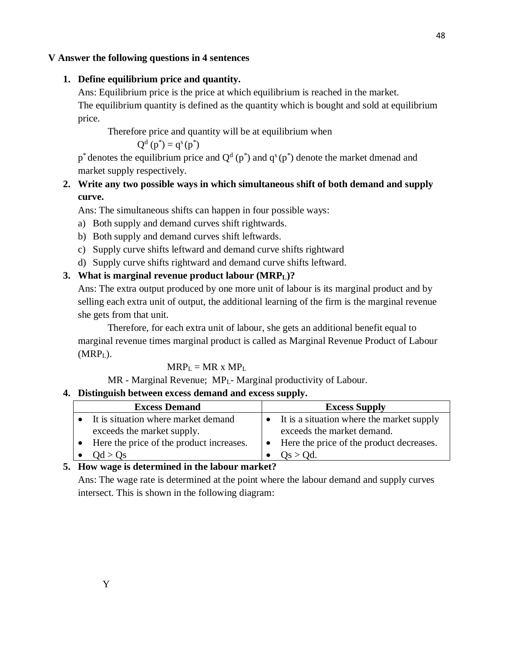## **V Answer the following questions in 4 sentences**

## **1. Define equilibrium price and quantity.**

Ans: Equilibrium price is the price at which equilibrium is reached in the market.

The equilibrium quantity is defined as the quantity which is bought and sold at equilibrium price.

Therefore price and quantity will be at equilibrium when

$$
Q^d(p^*) = q^s(p^*)
$$

 $p^*$  denotes the equilibrium price and  $Q^d(p^*)$  and  $q^s(p^*)$  denote the market dmenad and market supply respectively.

# **2. Write any two possible ways in which simultaneous shift of both demand and supply curve.**

Ans: The simultaneous shifts can happen in four possible ways:

- a) Both supply and demand curves shift rightwards.
- b) Both supply and demand curves shift leftwards.
- c) Supply curve shifts leftward and demand curve shifts rightward
- d) Supply curve shifts rightward and demand curve shifts leftward.

# **3. What is marginal revenue product labour (MRPL)?**

Ans: The extra output produced by one more unit of labour is its marginal product and by selling each extra unit of output, the additional learning of the firm is the marginal revenue she gets from that unit.

Therefore, for each extra unit of labour, she gets an additional benefit equal to marginal revenue times marginal product is called as Marginal Revenue Product of Labour (MRPL).

# $MRP_{L} = MR \times MP_{L}$

MR - Marginal Revenue; MPL- Marginal productivity of Labour.

# **4. Distinguish between excess demand and excess supply.**

| <b>Excess Demand</b>                     | <b>Excess Supply</b>                                  |
|------------------------------------------|-------------------------------------------------------|
| It is situation where market demand      | It is a situation where the market supply             |
| exceeds the market supply.               | exceeds the market demand.                            |
| Here the price of the product increases. | Here the price of the product decreases.<br>$\bullet$ |
| Od > Os                                  | $Os > Od$ .                                           |

# **5. How wage is determined in the labour market?**

Ans: The wage rate is determined at the point where the labour demand and supply curves intersect. This is shown in the following diagram: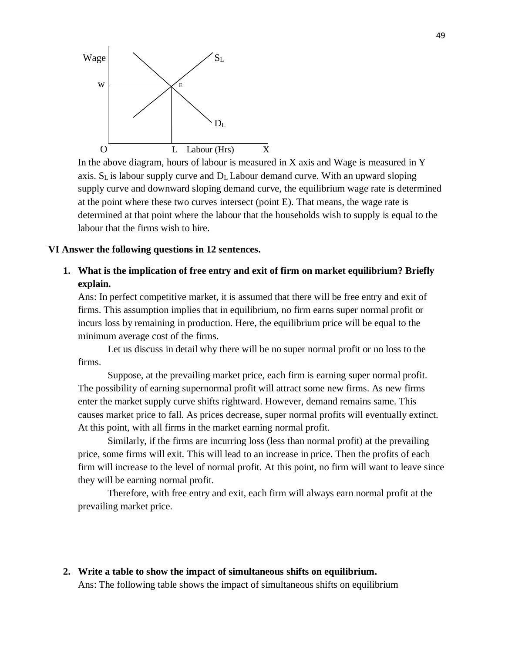

In the above diagram, hours of labour is measured in X axis and Wage is measured in Y axis.  $S_L$  is labour supply curve and  $D_L$  Labour demand curve. With an upward sloping supply curve and downward sloping demand curve, the equilibrium wage rate is determined at the point where these two curves intersect (point E). That means, the wage rate is determined at that point where the labour that the households wish to supply is equal to the labour that the firms wish to hire.

#### **VI Answer the following questions in 12 sentences.**

**1. What is the implication of free entry and exit of firm on market equilibrium? Briefly explain.**

Ans: In perfect competitive market, it is assumed that there will be free entry and exit of firms. This assumption implies that in equilibrium, no firm earns super normal profit or incurs loss by remaining in production. Here, the equilibrium price will be equal to the minimum average cost of the firms.

Let us discuss in detail why there will be no super normal profit or no loss to the firms.

Suppose, at the prevailing market price, each firm is earning super normal profit. The possibility of earning supernormal profit will attract some new firms. As new firms enter the market supply curve shifts rightward. However, demand remains same. This causes market price to fall. As prices decrease, super normal profits will eventually extinct. At this point, with all firms in the market earning normal profit.

Similarly, if the firms are incurring loss (less than normal profit) at the prevailing price, some firms will exit. This will lead to an increase in price. Then the profits of each firm will increase to the level of normal profit. At this point, no firm will want to leave since they will be earning normal profit.

Therefore, with free entry and exit, each firm will always earn normal profit at the prevailing market price.

**2. Write a table to show the impact of simultaneous shifts on equilibrium.** Ans: The following table shows the impact of simultaneous shifts on equilibrium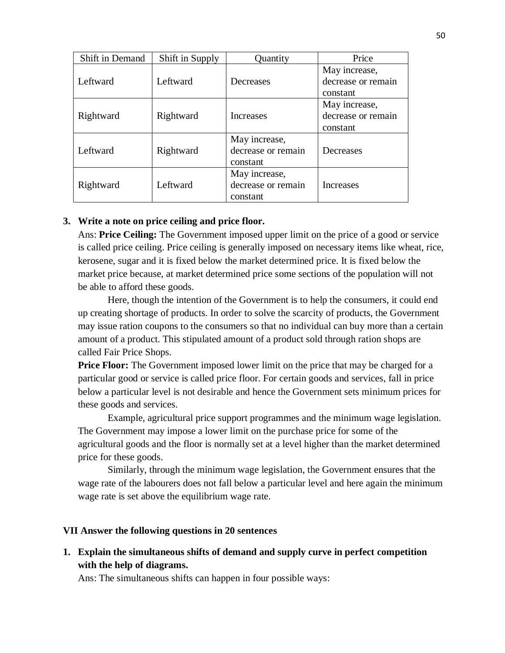| Shift in Demand | Shift in Supply | Quantity           | Price              |
|-----------------|-----------------|--------------------|--------------------|
|                 |                 |                    | May increase,      |
| Leftward        | Leftward        | Decreases          | decrease or remain |
|                 |                 |                    | constant           |
|                 |                 |                    | May increase,      |
| Rightward       | Rightward       | Increases          | decrease or remain |
|                 |                 |                    | constant           |
|                 |                 | May increase,      |                    |
| Leftward        | Rightward       | decrease or remain | Decreases          |
|                 |                 | constant           |                    |
|                 |                 | May increase,      |                    |
| Rightward       | Leftward        | decrease or remain | Increases          |
|                 |                 | constant           |                    |

## **3. Write a note on price ceiling and price floor.**

Ans: **Price Ceiling:** The Government imposed upper limit on the price of a good or service is called price ceiling. Price ceiling is generally imposed on necessary items like wheat, rice, kerosene, sugar and it is fixed below the market determined price. It is fixed below the market price because, at market determined price some sections of the population will not be able to afford these goods.

Here, though the intention of the Government is to help the consumers, it could end up creating shortage of products. In order to solve the scarcity of products, the Government may issue ration coupons to the consumers so that no individual can buy more than a certain amount of a product. This stipulated amount of a product sold through ration shops are called Fair Price Shops.

**Price Floor:** The Government imposed lower limit on the price that may be charged for a particular good or service is called price floor. For certain goods and services, fall in price below a particular level is not desirable and hence the Government sets minimum prices for these goods and services.

Example, agricultural price support programmes and the minimum wage legislation. The Government may impose a lower limit on the purchase price for some of the agricultural goods and the floor is normally set at a level higher than the market determined price for these goods.

Similarly, through the minimum wage legislation, the Government ensures that the wage rate of the labourers does not fall below a particular level and here again the minimum wage rate is set above the equilibrium wage rate.

## **VII Answer the following questions in 20 sentences**

**1. Explain the simultaneous shifts of demand and supply curve in perfect competition with the help of diagrams.**

Ans: The simultaneous shifts can happen in four possible ways: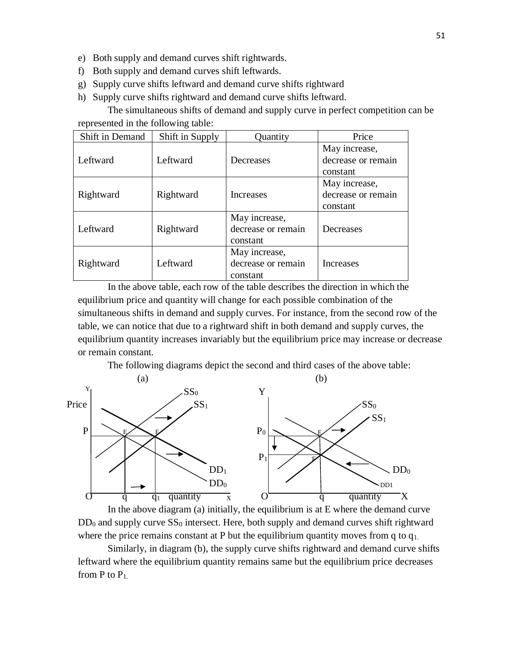- e) Both supply and demand curves shift rightwards.
- f) Both supply and demand curves shift leftwards.
- g) Supply curve shifts leftward and demand curve shifts rightward
- h) Supply curve shifts rightward and demand curve shifts leftward.

The simultaneous shifts of demand and supply curve in perfect competition can be represented in the following table:

| Shift in Demand | Shift in Supply | Quantity           | Price              |
|-----------------|-----------------|--------------------|--------------------|
|                 |                 |                    | May increase,      |
| Leftward        | Leftward        | Decreases          | decrease or remain |
|                 |                 |                    | constant           |
|                 |                 |                    | May increase,      |
| Rightward       | Rightward       | Increases          | decrease or remain |
|                 |                 |                    | constant           |
|                 |                 | May increase,      |                    |
| Leftward        | Rightward       | decrease or remain | Decreases          |
|                 |                 | constant           |                    |
|                 |                 | May increase,      |                    |
| Rightward       | Leftward        | decrease or remain | Increases          |
|                 |                 | constant           |                    |

In the above table, each row of the table describes the direction in which the equilibrium price and quantity will change for each possible combination of the simultaneous shifts in demand and supply curves. For instance, from the second row of the table, we can notice that due to a rightward shift in both demand and supply curves, the equilibrium quantity increases invariably but the equilibrium price may increase or decrease or remain constant.

The following diagrams depict the second and third cases of the above table:



In the above diagram (a) initially, the equilibrium is at E where the demand curve  $DD_0$  and supply curve  $SS_0$  intersect. Here, both supply and demand curves shift rightward where the price remains constant at P but the equilibrium quantity moves from q to  $q_1$ .

Similarly, in diagram (b), the supply curve shifts rightward and demand curve shifts leftward where the equilibrium quantity remains same but the equilibrium price decreases from P to P1.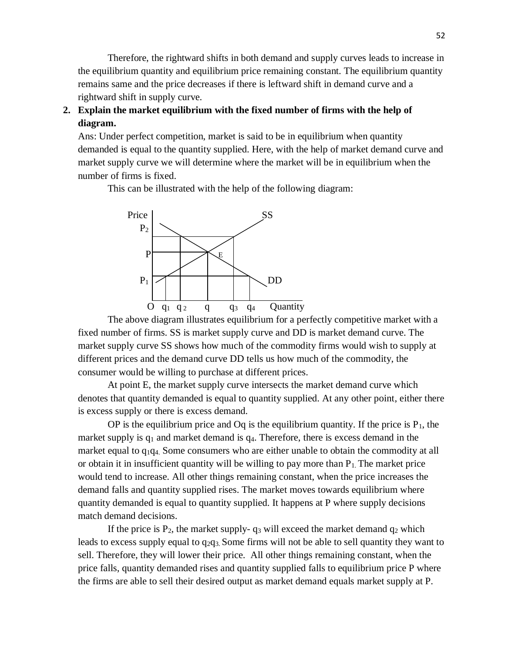Therefore, the rightward shifts in both demand and supply curves leads to increase in the equilibrium quantity and equilibrium price remaining constant. The equilibrium quantity remains same and the price decreases if there is leftward shift in demand curve and a rightward shift in supply curve.

# **2. Explain the market equilibrium with the fixed number of firms with the help of diagram.**

Ans: Under perfect competition, market is said to be in equilibrium when quantity demanded is equal to the quantity supplied. Here, with the help of market demand curve and market supply curve we will determine where the market will be in equilibrium when the number of firms is fixed.

This can be illustrated with the help of the following diagram:



The above diagram illustrates equilibrium for a perfectly competitive market with a fixed number of firms. SS is market supply curve and DD is market demand curve. The market supply curve SS shows how much of the commodity firms would wish to supply at different prices and the demand curve DD tells us how much of the commodity, the consumer would be willing to purchase at different prices.

At point E, the market supply curve intersects the market demand curve which denotes that quantity demanded is equal to quantity supplied. At any other point, either there is excess supply or there is excess demand.

OP is the equilibrium price and Oq is the equilibrium quantity. If the price is  $P_1$ , the market supply is  $q_1$  and market demand is  $q_4$ . Therefore, there is excess demand in the market equal to q1q4. Some consumers who are either unable to obtain the commodity at all or obtain it in insufficient quantity will be willing to pay more than  $P_1$ . The market price would tend to increase. All other things remaining constant, when the price increases the demand falls and quantity supplied rises. The market moves towards equilibrium where quantity demanded is equal to quantity supplied. It happens at P where supply decisions match demand decisions.

If the price is  $P_2$ , the market supply-  $q_3$  will exceed the market demand  $q_2$  which leads to excess supply equal to  $q_{2}q_{3}$ . Some firms will not be able to sell quantity they want to sell. Therefore, they will lower their price. All other things remaining constant, when the price falls, quantity demanded rises and quantity supplied falls to equilibrium price P where the firms are able to sell their desired output as market demand equals market supply at P.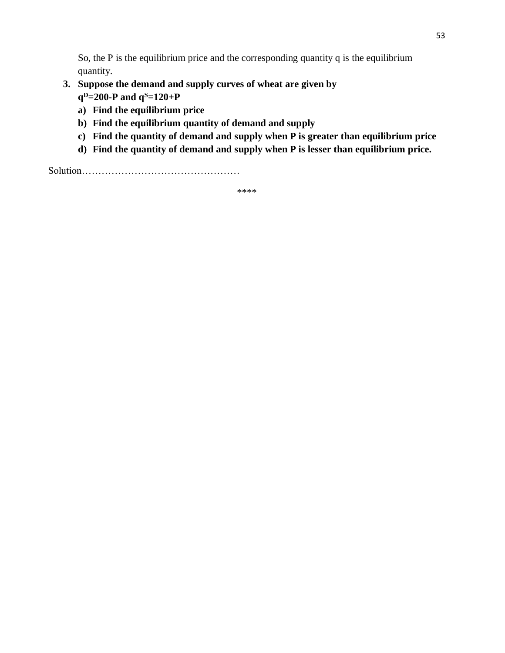So, the P is the equilibrium price and the corresponding quantity q is the equilibrium quantity.

- **3. Suppose the demand and supply curves of wheat are given by q <sup>D</sup>=200-P and q<sup>S</sup>=120+P**
	- **a) Find the equilibrium price**
	- **b) Find the equilibrium quantity of demand and supply**
	- **c) Find the quantity of demand and supply when P is greater than equilibrium price**
	- **d) Find the quantity of demand and supply when P is lesser than equilibrium price.**

Solution…………………………………………

\*\*\*\*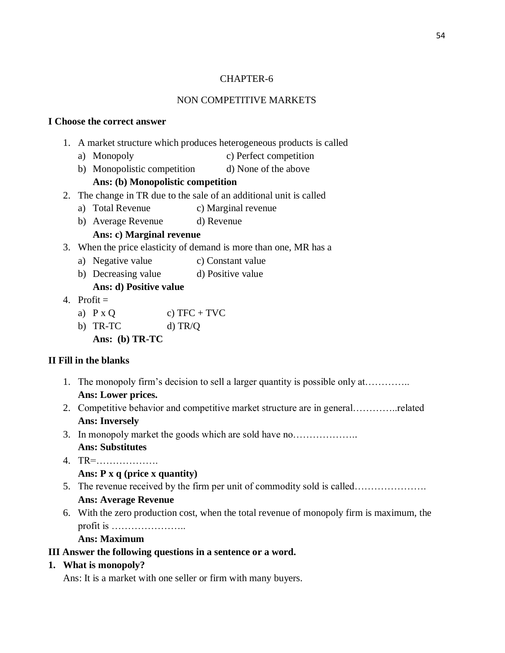## CHAPTER-6

# NON COMPETITIVE MARKETS

## **I Choose the correct answer**

- 1. A market structure which produces heterogeneous products is called
	- a) Monopoly c) Perfect competition
	- b) Monopolistic competition d) None of the above

## **Ans: (b) Monopolistic competition**

- 2. The change in TR due to the sale of an additional unit is called
	- a) Total Revenue c) Marginal revenue
	- b) Average Revenue d) Revenue

# **Ans: c) Marginal revenue**

- 3. When the price elasticity of demand is more than one, MR has a
	- a) Negative value c) Constant value
	- b) Decreasing value d) Positive value

# **Ans: d) Positive value**

- 4. Profit  $=$ 
	- a)  $P \times Q$  c)  $TFC + TVC$
	- b) TR-TC d) TR/Q
		- **Ans: (b) TR-TC**

## **II Fill in the blanks**

- 1. The monopoly firm's decision to sell a larger quantity is possible only at………….. **Ans: Lower prices.**
- 2. Competitive behavior and competitive market structure are in general…………..related **Ans: Inversely**
- 3. In monopoly market the goods which are sold have no……………….. **Ans: Substitutes**
- 4. TR=……………….
	- **Ans: P x q (price x quantity)**
- 5. The revenue received by the firm per unit of commodity sold is called…………………. **Ans: Average Revenue**
- 6. With the zero production cost, when the total revenue of monopoly firm is maximum, the profit is …………………..

## **Ans: Maximum**

## **III Answer the following questions in a sentence or a word.**

**1. What is monopoly?**

Ans: It is a market with one seller or firm with many buyers.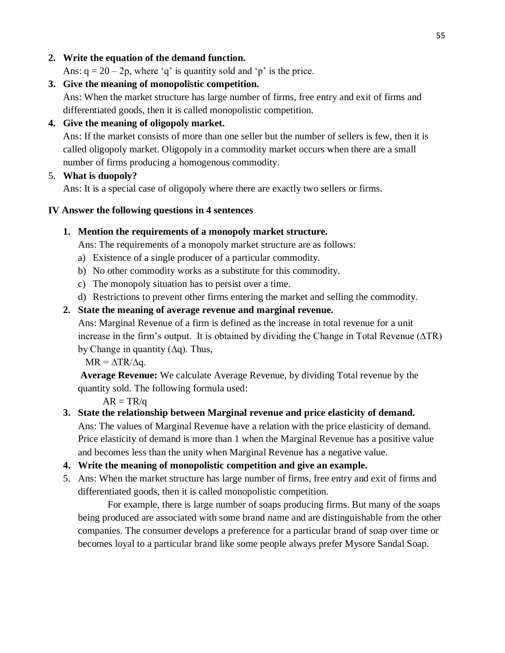# **2. Write the equation of the demand function.**

Ans:  $q = 20 - 2p$ , where 'q' is quantity sold and 'p' is the price.

**3. Give the meaning of monopolistic competition.** Ans: When the market structure has large number of firms, free entry and exit of firms and differentiated goods, then it is called monopolistic competition.

# **4. Give the meaning of oligopoly market.**

Ans: If the market consists of more than one seller but the number of sellers is few, then it is called oligopoly market. Oligopoly in a commodity market occurs when there are a small number of firms producing a homogenous commodity.

# 5. **What is duopoly?**

Ans: It is a special case of oligopoly where there are exactly two sellers or firms.

# **IV Answer the following questions in 4 sentences**

# **1. Mention the requirements of a monopoly market structure.**

Ans: The requirements of a monopoly market structure are as follows:

- a) Existence of a single producer of a particular commodity.
- b) No other commodity works as a substitute for this commodity.
- c) The monopoly situation has to persist over a time.
- d) Restrictions to prevent other firms entering the market and selling the commodity.

# **2. State the meaning of average revenue and marginal revenue.**

Ans: Marginal Revenue of a firm is defined as the increase in total revenue for a unit increase in the firm's output. It is obtained by dividing the Change in Total Revenue (∆TR) by Change in quantity (∆q). Thus,

 $MR = \Delta TR/\Delta q$ .

**Average Revenue:** We calculate Average Revenue, by dividing Total revenue by the quantity sold. The following formula used:

 $AR = TR/q$ 

- **3. State the relationship between Marginal revenue and price elasticity of demand.** Ans: The values of Marginal Revenue have a relation with the price elasticity of demand. Price elasticity of demand is more than 1 when the Marginal Revenue has a positive value and becomes less than the unity when Marginal Revenue has a negative value.
- **4. Write the meaning of monopolistic competition and give an example.**
- 5. Ans: When the market structure has large number of firms, free entry and exit of firms and differentiated goods, then it is called monopolistic competition.

For example, there is large number of soaps producing firms. But many of the soaps being produced are associated with some brand name and are distinguishable from the other companies. The consumer develops a preference for a particular brand of soap over time or becomes loyal to a particular brand like some people always prefer Mysore Sandal Soap.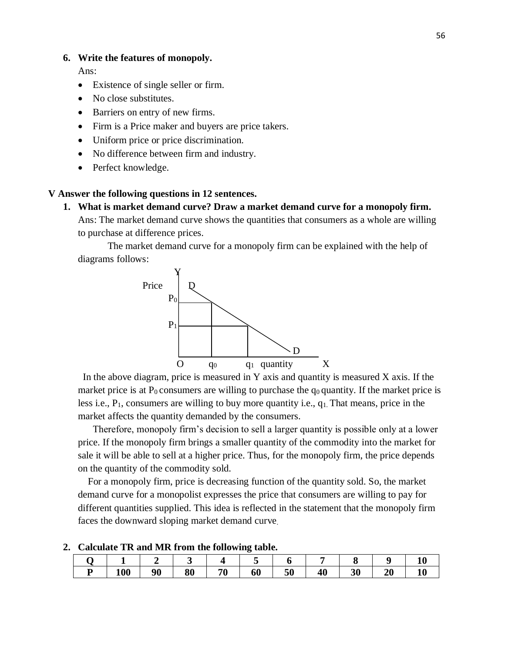#### **6. Write the features of monopoly.**

Ans:

- Existence of single seller or firm.
- No close substitutes.
- Barriers on entry of new firms.
- Firm is a Price maker and buyers are price takers.
- Uniform price or price discrimination.
- No difference between firm and industry.
- Perfect knowledge.

#### **V Answer the following questions in 12 sentences.**

**1. What is market demand curve? Draw a market demand curve for a monopoly firm.**

Ans: The market demand curve shows the quantities that consumers as a whole are willing to purchase at difference prices.

The market demand curve for a monopoly firm can be explained with the help of diagrams follows:



In the above diagram, price is measured in Y axis and quantity is measured X axis. If the market price is at  $P_0$  consumers are willing to purchase the  $q_0$  quantity. If the market price is less i.e.,  $P_1$ , consumers are willing to buy more quantity i.e.,  $q_1$ . That means, price in the market affects the quantity demanded by the consumers.

 Therefore, monopoly firm's decision to sell a larger quantity is possible only at a lower price. If the monopoly firm brings a smaller quantity of the commodity into the market for sale it will be able to sell at a higher price. Thus, for the monopoly firm, the price depends on the quantity of the commodity sold.

 For a monopoly firm, price is decreasing function of the quantity sold. So, the market demand curve for a monopolist expresses the price that consumers are willing to pay for different quantities supplied. This idea is reflected in the statement that the monopoly firm faces the downward sloping market demand curve.

|   |     |    |    |    | ີ  |    |    |    |    | π  |
|---|-----|----|----|----|----|----|----|----|----|----|
| D | 100 | 90 | 80 | 70 | 60 | 50 | 40 | 30 | 20 | 10 |

#### **2. Calculate TR and MR from the following table.**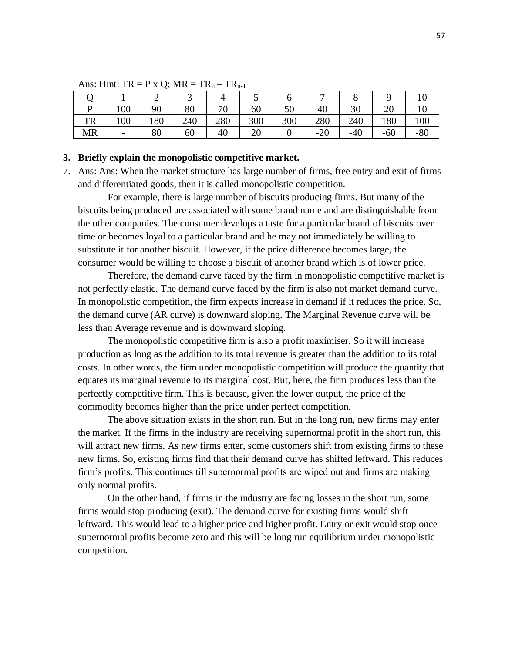|           |                              |     |     |           |     | v   |       | U     |       |       |
|-----------|------------------------------|-----|-----|-----------|-----|-----|-------|-------|-------|-------|
| D         | 100                          | 90  | 80  | 70<br>7 U | 60  | 50  | 40    | 30    | ZU    | 10    |
| <b>TR</b> | 100                          | 180 | 240 | 280       | 300 | 300 | 280   | 240   | 180   | 100   |
| <b>MR</b> | $\qquad \qquad \blacksquare$ | 80  | 60  | 40        | 20  |     | $-20$ | $-40$ | $-60$ | $-80$ |

Ans: Hint:  $TR = P \times Q$ ;  $MR = TR_n - TR_{n-1}$ 

#### **3. Briefly explain the monopolistic competitive market.**

7. Ans: Ans: When the market structure has large number of firms, free entry and exit of firms and differentiated goods, then it is called monopolistic competition.

For example, there is large number of biscuits producing firms. But many of the biscuits being produced are associated with some brand name and are distinguishable from the other companies. The consumer develops a taste for a particular brand of biscuits over time or becomes loyal to a particular brand and he may not immediately be willing to substitute it for another biscuit. However, if the price difference becomes large, the consumer would be willing to choose a biscuit of another brand which is of lower price.

Therefore, the demand curve faced by the firm in monopolistic competitive market is not perfectly elastic. The demand curve faced by the firm is also not market demand curve. In monopolistic competition, the firm expects increase in demand if it reduces the price. So, the demand curve (AR curve) is downward sloping. The Marginal Revenue curve will be less than Average revenue and is downward sloping.

The monopolistic competitive firm is also a profit maximiser. So it will increase production as long as the addition to its total revenue is greater than the addition to its total costs. In other words, the firm under monopolistic competition will produce the quantity that equates its marginal revenue to its marginal cost. But, here, the firm produces less than the perfectly competitive firm. This is because, given the lower output, the price of the commodity becomes higher than the price under perfect competition.

The above situation exists in the short run. But in the long run, new firms may enter the market. If the firms in the industry are receiving supernormal profit in the short run, this will attract new firms. As new firms enter, some customers shift from existing firms to these new firms. So, existing firms find that their demand curve has shifted leftward. This reduces firm's profits. This continues till supernormal profits are wiped out and firms are making only normal profits.

On the other hand, if firms in the industry are facing losses in the short run, some firms would stop producing (exit). The demand curve for existing firms would shift leftward. This would lead to a higher price and higher profit. Entry or exit would stop once supernormal profits become zero and this will be long run equilibrium under monopolistic competition.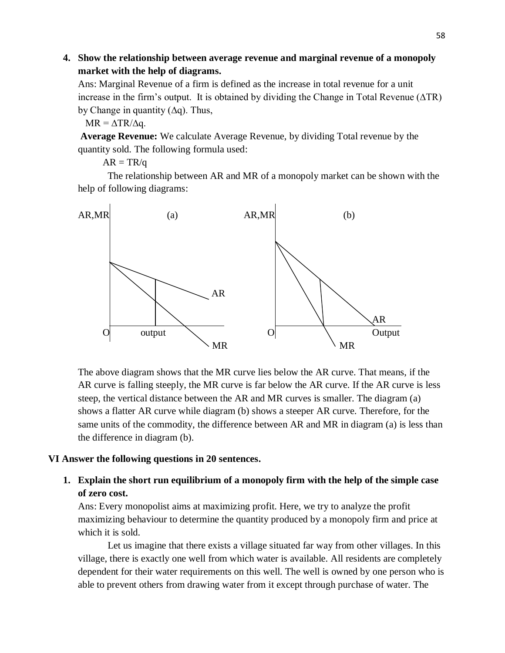# **4. Show the relationship between average revenue and marginal revenue of a monopoly market with the help of diagrams.**

Ans: Marginal Revenue of a firm is defined as the increase in total revenue for a unit increase in the firm's output. It is obtained by dividing the Change in Total Revenue (∆TR) by Change in quantity (∆q). Thus,

 $MR = \Delta TR/\Delta q$ .

**Average Revenue:** We calculate Average Revenue, by dividing Total revenue by the quantity sold. The following formula used:

 $AR = TR/q$ 

The relationship between AR and MR of a monopoly market can be shown with the help of following diagrams:



The above diagram shows that the MR curve lies below the AR curve. That means, if the AR curve is falling steeply, the MR curve is far below the AR curve. If the AR curve is less steep, the vertical distance between the AR and MR curves is smaller. The diagram (a) shows a flatter AR curve while diagram (b) shows a steeper AR curve. Therefore, for the same units of the commodity, the difference between AR and MR in diagram (a) is less than the difference in diagram (b).

## **VI Answer the following questions in 20 sentences.**

# **1. Explain the short run equilibrium of a monopoly firm with the help of the simple case of zero cost.**

Ans: Every monopolist aims at maximizing profit. Here, we try to analyze the profit maximizing behaviour to determine the quantity produced by a monopoly firm and price at which it is sold.

Let us imagine that there exists a village situated far way from other villages. In this village, there is exactly one well from which water is available. All residents are completely dependent for their water requirements on this well. The well is owned by one person who is able to prevent others from drawing water from it except through purchase of water. The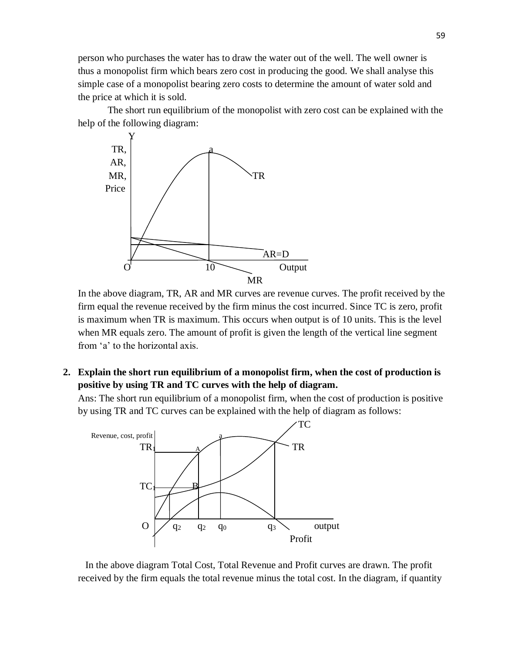person who purchases the water has to draw the water out of the well. The well owner is thus a monopolist firm which bears zero cost in producing the good. We shall analyse this simple case of a monopolist bearing zero costs to determine the amount of water sold and the price at which it is sold.

The short run equilibrium of the monopolist with zero cost can be explained with the help of the following diagram:



In the above diagram, TR, AR and MR curves are revenue curves. The profit received by the firm equal the revenue received by the firm minus the cost incurred. Since TC is zero, profit is maximum when TR is maximum. This occurs when output is of 10 units. This is the level when MR equals zero. The amount of profit is given the length of the vertical line segment from 'a' to the horizontal axis.

**2. Explain the short run equilibrium of a monopolist firm, when the cost of production is positive by using TR and TC curves with the help of diagram.**

Ans: The short run equilibrium of a monopolist firm, when the cost of production is positive by using TR and TC curves can be explained with the help of diagram as follows:



 In the above diagram Total Cost, Total Revenue and Profit curves are drawn. The profit received by the firm equals the total revenue minus the total cost. In the diagram, if quantity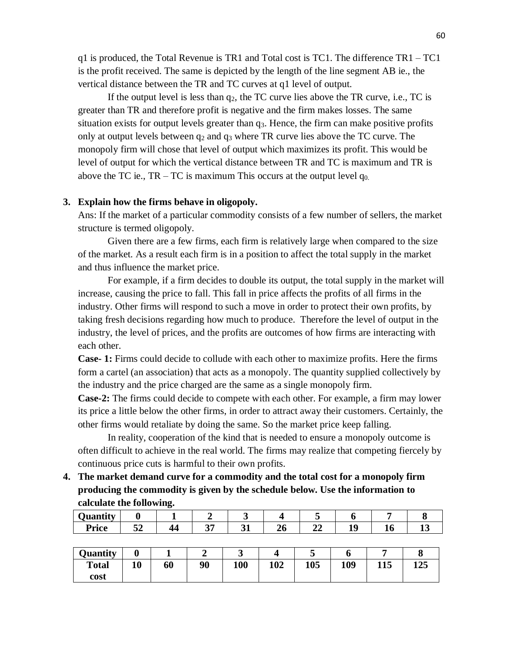q1 is produced, the Total Revenue is TR1 and Total cost is TC1. The difference TR1 – TC1 is the profit received. The same is depicted by the length of the line segment AB ie., the vertical distance between the TR and TC curves at q1 level of output.

If the output level is less than  $q_2$ , the TC curve lies above the TR curve, i.e., TC is greater than TR and therefore profit is negative and the firm makes losses. The same situation exists for output levels greater than  $q_3$ . Hence, the firm can make positive profits only at output levels between  $q_2$  and  $q_3$  where TR curve lies above the TC curve. The monopoly firm will chose that level of output which maximizes its profit. This would be level of output for which the vertical distance between TR and TC is maximum and TR is above the TC ie.,  $TR - TC$  is maximum This occurs at the output level  $q_{0}$ .

#### **3. Explain how the firms behave in oligopoly.**

Ans: If the market of a particular commodity consists of a few number of sellers, the market structure is termed oligopoly.

Given there are a few firms, each firm is relatively large when compared to the size of the market. As a result each firm is in a position to affect the total supply in the market and thus influence the market price.

For example, if a firm decides to double its output, the total supply in the market will increase, causing the price to fall. This fall in price affects the profits of all firms in the industry. Other firms will respond to such a move in order to protect their own profits, by taking fresh decisions regarding how much to produce. Therefore the level of output in the industry, the level of prices, and the profits are outcomes of how firms are interacting with each other.

**Case- 1:** Firms could decide to collude with each other to maximize profits. Here the firms form a cartel (an association) that acts as a monopoly. The quantity supplied collectively by the industry and the price charged are the same as a single monopoly firm.

**Case-2:** The firms could decide to compete with each other. For example, a firm may lower its price a little below the other firms, in order to attract away their customers. Certainly, the other firms would retaliate by doing the same. So the market price keep falling.

In reality, cooperation of the kind that is needed to ensure a monopoly outcome is often difficult to achieve in the real world. The firms may realize that competing fiercely by continuous price cuts is harmful to their own profits.

**4. The market demand curve for a commodity and the total cost for a monopoly firm producing the commodity is given by the schedule below. Use the information to calculate the following.**

| .<br>$\sim$ $-$<br>$\cdots$ |     |     |    |     |           |    |    |  |
|-----------------------------|-----|-----|----|-----|-----------|----|----|--|
| <b>Price</b>                | E A | . . | 25 | 4U. | - -<br>44 | 10 | 10 |  |

| <b>Quantity</b> |    |    |    | ັ          |     | ~   |     |     |     |
|-----------------|----|----|----|------------|-----|-----|-----|-----|-----|
| <b>Total</b>    | 10 | 60 | 90 | <b>100</b> | 102 | 105 | 109 | 115 | 125 |
| cost            |    |    |    |            |     |     |     |     |     |